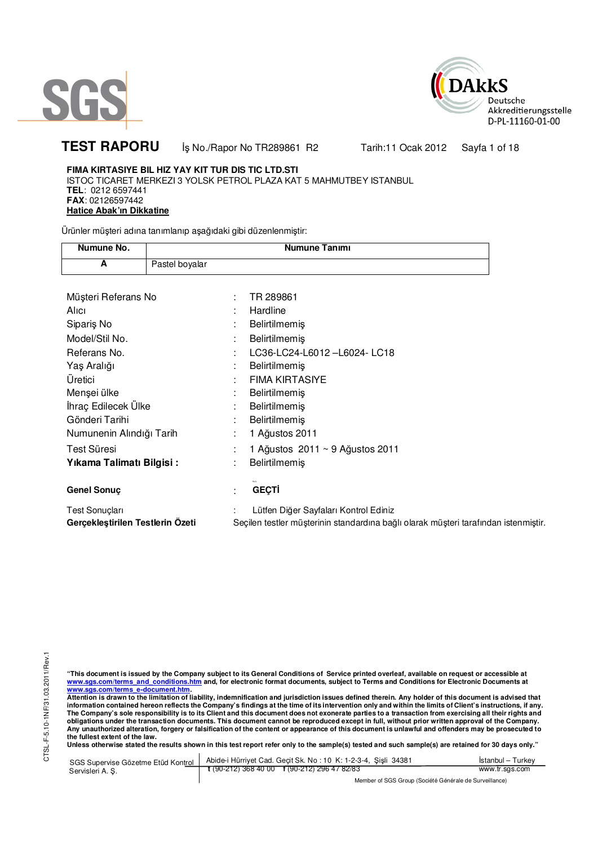



**TEST RAPORU i**ş No./Rapor No TR289861 R2 Tarih:11 Ocak 2012 Sayfa 1 of 18

# **FIMA KIRTASIYE BIL HIZ YAY KIT TUR DIS TIC LTD.STI**

ISTOC TICARET MERKEZI 3 YOLSK PETROL PLAZA KAT 5 MAHMUTBEY ISTANBUL **TEL**: 0212 6597441 **FAX**: 02126597442 **Hatice Abak'ın Dikkatine**

Ürünler müşteri adına tanımlanıp aşağıdaki gibi düzenlenmiştir:

| Numune No. | Numune Tanımı  |
|------------|----------------|
|            | Pastel boyalar |

| Müşteri Referans No              | ٠                   | TR 289861                                                                           |
|----------------------------------|---------------------|-------------------------------------------------------------------------------------|
| Alici                            | ٠                   | Hardline                                                                            |
| Siparis No                       |                     | Belirtilmemiş                                                                       |
| Model/Stil No.                   | ٠<br>$\blacksquare$ | <b>Belirtilmemis</b>                                                                |
| Referans No.                     | ٠                   | LC36-LC24-L6012-L6024-LC18                                                          |
| Yaş Aralığı                      |                     | <b>Belirtilmemiş</b>                                                                |
| Üretici                          | ٠                   | <b>FIMA KIRTASIYE</b>                                                               |
| Menşei ülke                      | ٠                   | Belirtilmemiş                                                                       |
| İhraç Edilecek Ülke              |                     | Belirtilmemiş                                                                       |
| Gönderi Tarihi                   |                     | <b>Belirtilmemis</b>                                                                |
| Numunenin Alındığı Tarih         | ٠                   | 1 Ağustos 2011                                                                      |
| Test Süresi                      | ٠                   | 1 Ağustos 2011 ~ 9 Ağustos 2011                                                     |
| Yıkama Talimatı Bilgisi:         | ٠                   | <b>Belirtilmemis</b>                                                                |
| <b>Genel Sonuc</b>               | ٠                   | <b>GEÇTI</b>                                                                        |
| Test Sonuçları                   |                     | Lütfen Diğer Sayfaları Kontrol Ediniz                                               |
| Gerçekleştirilen Testlerin Ozeti |                     | Seçilen testler müşterinin standardına bağlı olarak müşteri tarafından istenmiştir. |

"This document is issued by the Company subject to its General Conditions of Service printed overleaf, available on request or accessible at<br>www.sgs.com/terms\_and\_conditions.htm\_and, for electronic format documents, subjec

<mark>www.sgs.com/terms\_e-document.htm.</mark><br>Attention is drawn to the limitation of liability, indemnification and jurisdiction issues defined therein. Any holder of this document is advised that information contained hereon reflects the Company's findings at the time of its intervention only and within the limits of Client's instructions, if any.<br>The Company's sole responsibility is to its Client and this document obligations under the transaction documents. This document cannot be reproduced except in full, without prior written approval of the Company.<br>Any unauthorized alteration, forgery or falsification of the content or appeara

Unless otherwise stated the results shown in this test report refer only to the sample(s) tested and such sample(s) are retained for 30 days only."

| SGS Supervise Gözetme Etüd Kontrol | Abide-i Hürriyet Cad. Gecit Sk. No: 10 K: 1-2-3-4, Sisli 34381 | İstanbul – Turkev |
|------------------------------------|----------------------------------------------------------------|-------------------|
| Servisleri A. S.                   | $\frac{1}{2}$ (90-212) 368 40 00 f (90-212) 296 47 82/83       | www.tr.sgs.com    |
|                                    | Member of SGS Group (Société Générale de Surveillance)         |                   |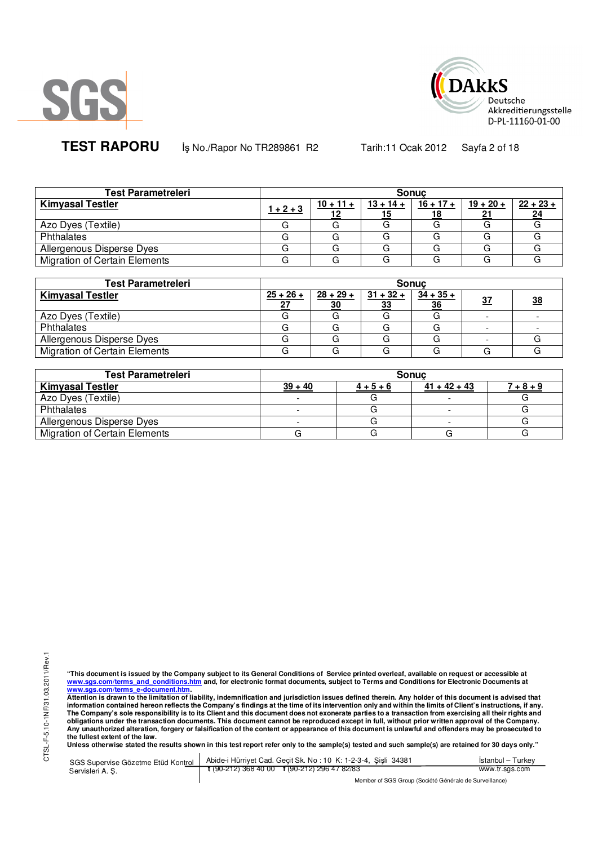



**TEST RAPORU** iş No./Rapor No TR289861 R2 Tarih:11 Ocak 2012 Sayfa 2 of 18

| <b>Test Parametreleri</b>            | <b>Sonuc</b> |             |             |             |             |             |  |  |
|--------------------------------------|--------------|-------------|-------------|-------------|-------------|-------------|--|--|
| <b>Kimyasal Testler</b>              | $1 + 2 + 3$  | $10 + 11 +$ | $13 + 14 +$ | $16 + 17 +$ | $19 + 20 +$ | $22 + 23 +$ |  |  |
|                                      |              |             |             |             |             |             |  |  |
| Azo Dyes (Textile)                   |              |             |             |             |             |             |  |  |
| Phthalates                           |              |             | G           |             |             |             |  |  |
| Allergenous Disperse Dyes            |              | G           | G           |             |             |             |  |  |
| <b>Migration of Certain Elements</b> |              | G           | G           |             |             |             |  |  |

| <b>Test Parametreleri</b>            | <b>Sonuc</b>           |                   |                   |                   |    |    |
|--------------------------------------|------------------------|-------------------|-------------------|-------------------|----|----|
| <b>Kimyasal Testler</b>              | $\frac{25 + 26 + }{1}$ | $28 + 29 +$<br>30 | $31 + 32 +$<br>33 | $34 + 35 +$<br>36 | 37 | 38 |
| Azo Dyes (Textile)                   |                        |                   |                   |                   |    |    |
| Phthalates                           | G                      | G                 |                   |                   |    |    |
| Allergenous Disperse Dyes            | G                      | G                 |                   |                   |    |    |
| <b>Migration of Certain Elements</b> | G                      | G                 |                   |                   |    |    |

| <b>Test Parametreleri</b>            | <b>Sonuc</b> |             |                |             |  |  |  |
|--------------------------------------|--------------|-------------|----------------|-------------|--|--|--|
| <b>Kimyasal Testler</b>              | $39 + 40$    | $4 + 5 + 6$ | $41 + 42 + 43$ | $7 + 8 + 9$ |  |  |  |
| Azo Dves (Textile)                   |              |             |                |             |  |  |  |
| Phthalates                           |              |             |                |             |  |  |  |
| Allergenous Disperse Dyes            |              |             |                |             |  |  |  |
| <b>Migration of Certain Elements</b> |              |             |                |             |  |  |  |

"This document is issued by the Company subject to its General Conditions of Service printed overleaf, available on request or accessible at<br>www.sgs.com/terms\_and\_conditions.htm\_and, for electronic format documents, subjec

<u>www.sgs.com/terms\_e-document.htm.</u><br>Attention is drawn to the limitation of liability, indemnification and jurisdiction issues defined therein. Any holder of this document is advised that<br>information contained hereon refle obligations under the transaction documents. This document cannot be reproduced except in full, without prior written approval of the Company.<br>Any unauthorized alteration, forgery or falsification of the content or appeara

**Unless otherwise stated the results shown in this test report refer only to the sample(s) tested and such sample(s) are retained for 30 days only."** 

| SGS Supervise Gözetme Etüd Kontrol | Abide-i Hürriyet Cad. Gecit Sk. No: 10 K: 1-2-3-4, Sisli 34381 | Istanbul – Turkev |
|------------------------------------|----------------------------------------------------------------|-------------------|
| Servisleri A. S.                   | $\frac{1}{2}$ (90-212) 368 40 00 f (90-212) 296 47 82/83       | www.tr.sgs.com    |
|                                    | Member of SGS Group (Société Générale de Surveillance)         |                   |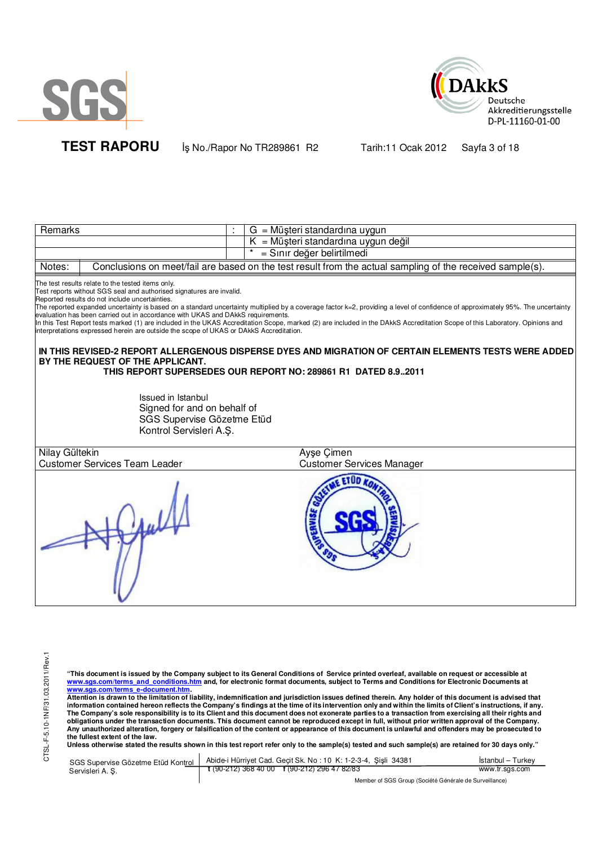



**TEST RAPORU** iş No./Rapor No TR289861 R2 Tarih:11 Ocak 2012 Sayfa 3 of 18



**"This document is issued by the Company subject to its General Conditions of Service printed overleaf, available on request or accessible at www.sgs.com/terms\_and\_conditions.htm and, for electronic format documents, subject to Terms and Conditions for Electronic Documents at** 

<mark>www.sgs.com/terms\_e-document.htm.</mark><br>Attention is drawn to the limitation of liability, indemnification and jurisdiction issues defined therein. Any holder of this document is advised that information contained hereon reflects the Company's findings at the time of its intervention only and within the limits of Client's instructions, if any.<br>The Company's sole responsibility is to its Client and this document **obligations under the transaction documents. This document cannot be reproduced except in full, without prior written approval of the Company. Any unauthorized alteration, forgery or falsification of the content or appearance of this document is unlawful and offenders may be prosecuted to the fullest extent of the law.** 

**Unless otherwise stated the results shown in this test report refer only to the sample(s) tested and such sample(s) are retained for 30 days only."** 

| SGS Supervise Gözetme Etüd Kontrol | Abide-i Hürriyet Cad. Gecit Sk. No: 10 K: 1-2-3-4, Sisli 34381       | Istanbul – Turkev |
|------------------------------------|----------------------------------------------------------------------|-------------------|
| Servisleri A. S.                   | $\frac{1}{2}$ (90-212) 368 40 00 $\frac{1}{2}$ (90-212) 296 47 82/83 | www.tr.sgs.com    |
|                                    | Member of SGS Group (Société Générale de Surveillance)               |                   |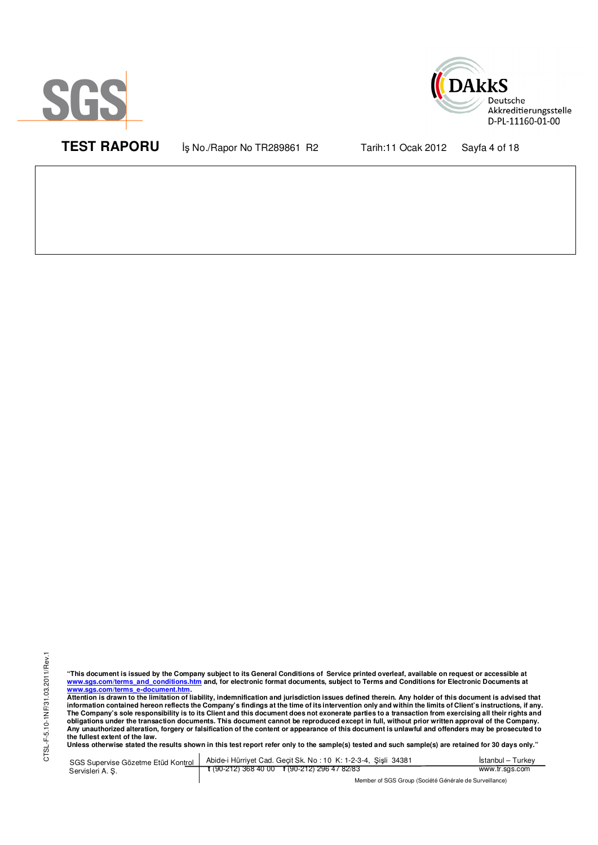



**TEST RAPORU** iş No./Rapor No TR289861 R2 Tarih:11 Ocak 2012 Sayfa 4 of 18

CTSL-F-5.10-1NF/31.03.2011/Rev.1 CTSL-F-5.10-1NF/31.03.2011/Rev.1

"This document is issued by the Company subject to its General Conditions of Service printed overleaf, available on request or accessible at<br>www.sgs.com/terms\_and\_conditions.htm\_and, for electronic format documents, subjec <mark>www.sgs.com/terms\_e-document.htm.</mark><br>Attention is drawn to the limitation of liability, indemnification and jurisdiction issues defined therein. Any holder of this document is advised that

information contained hereon reflects the Company's findings at the time of its intervention only and within the limits of Client's instructions, if any.<br>The Company's sole responsibility is to its Client and this document obligations under the transaction documents. This document cannot be reproduced except in full, without prior written approval of the Company.<br>Any unauthorized alteration, forgery or falsification of the content or appeara

**Unless otherwise stated the results shown in this test report refer only to the sample(s) tested and such sample(s) are retained for 30 days only."** 

SGS Supervise Gözetme Etüd Kontrol Servisleri A. Ş. Abide-i Hürriyet Cad. Geçit Sk. No : 10 K: 1-2-3-4, Şişli 34381 **t** (90-212) 368 40 00 **f** (90-212) 296 47 82/83 İstanbul – Turkey www.tr.sgs.com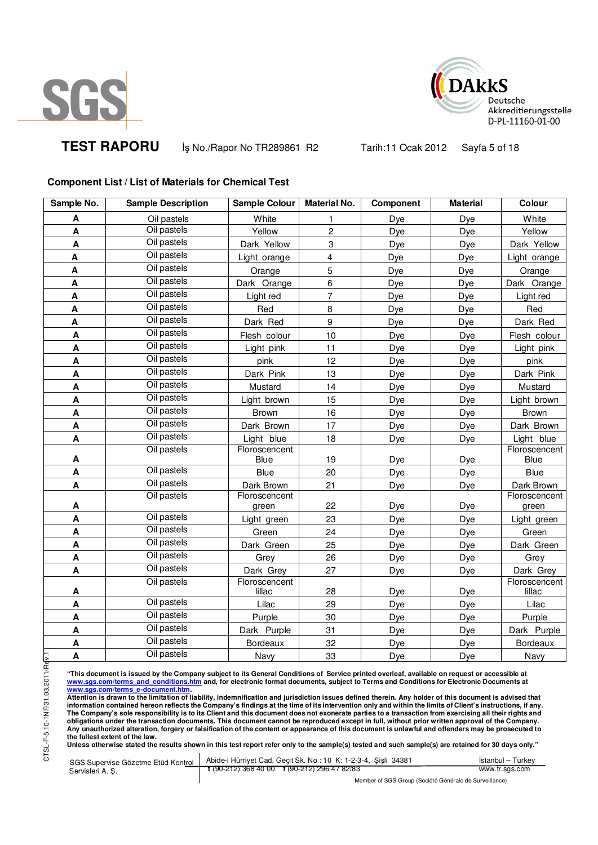



**TEST RAPORU** iş No./Rapor No TR289861 R2 Tarih:11 Ocak 2012 Sayfa 5 of 18

## **Component List / List of Materials for Chemical Test**

| Sample No.         | <b>Sample Description</b>  | Sample Colour               | <b>Material No.</b>     | Component  | <b>Material</b> | Colour                      |
|--------------------|----------------------------|-----------------------------|-------------------------|------------|-----------------|-----------------------------|
| A                  | Oil pastels                | White                       | 1                       | Dye        | Dye             | White                       |
| A                  | Oil pastels                | Yellow                      | $\overline{\mathbf{c}}$ | Dye        | Dye             | Yellow                      |
| A                  | Oil pastels                | Dark Yellow                 | 3                       | Dye        | Dye             | Dark Yellow                 |
| A                  | Oil pastels                | Light orange                | $\overline{\mathbf{4}}$ | Dye        | Dye             | Light orange                |
| A                  | Oil pastels                | Orange                      | 5                       | Dye        | Dye             | Orange                      |
| A                  | Oil pastels                | Dark Orange                 | 6                       | Dye        | Dye             | Dark Orange                 |
| $\pmb{\mathsf{A}}$ | Oil pastels                | Light red                   | $\overline{7}$          | Dye        | Dye             | Light red                   |
| A                  | Oil pastels                | Red                         | 8                       | Dye        | Dye             | Red                         |
| A                  | Oil pastels                | Dark Red                    | 9                       | Dye        | Dye             | Dark Red                    |
| A                  | Oil pastels                | Flesh colour                | 10                      | Dye        | Dye             | Flesh colour                |
| A                  | Oil pastels                | Light pink                  | 11                      | Dye        | Dye             | Light pink                  |
| A                  | Oil pastels                | pink                        | 12                      | Dye        | Dye             | pink                        |
| A                  | Oil pastels                | Dark Pink                   | 13                      | <b>Dye</b> | Dye             | Dark Pink                   |
| A                  | Oil pastels                | Mustard                     | 14                      | Dye        | Dye             | Mustard                     |
| $\boldsymbol{A}$   | Oil pastels                | Light brown                 | 15                      | Dye        | Dye             | Light brown                 |
| $\boldsymbol{A}$   | Oil pastels                | <b>Brown</b>                | 16                      | Dye        | Dye             | <b>Brown</b>                |
| A                  | Oil pastels                | Dark Brown                  | 17                      | Dye        | Dye             | Dark Brown                  |
| $\pmb{\mathsf{A}}$ | Oil pastels                | Light blue                  | 18                      | Dye        | Dye             | Light blue                  |
|                    | Oil pastels                | Floroscencent               |                         |            |                 | Floroscencent               |
| A                  | Oil pastels                | Blue                        | 19                      | Dye        | Dye             | Blue                        |
| A                  |                            | Blue                        | 20                      | Dye        | Dye             | Blue                        |
| A                  | Oil pastels<br>Oil pastels | Dark Brown<br>Floroscencent | 21                      | Dye        | Dye             | Dark Brown<br>Floroscencent |
| A                  |                            | green                       | 22                      | Dye        | Dye             | green                       |
| A                  | Oil pastels                | Light green                 | 23                      | Dye        | Dye             | Light green                 |
| A                  | Oil pastels                | Green                       | 24                      | Dye        | Dye             | Green                       |
| A                  | Oil pastels                | Dark Green                  | 25                      | Dye        | Dye             | Dark Green                  |
| A                  | Oil pastels                | Grey                        | 26                      | Dye        | Dye             | Grey                        |
| A                  | Oil pastels                | Dark Grey                   | 27                      | Dye        | Dye             | Dark Grey                   |
|                    | Oil pastels                | Floroscencent               |                         |            |                 | Floroscencent               |
| A                  |                            | lillac                      | 28                      | Dye        | Dye             | lillac                      |
| A                  | Oil pastels                | Lilac                       | 29                      | Dye        | Dye             | Lilac                       |
| A                  | Oil pastels                | Purple                      | 30                      | Dye        | Dye             | Purple                      |
| A                  | Oil pastels                | Dark Purple                 | 31                      | Dye        | Dye             | Dark Purple                 |
| A                  | Oil pastels                | Bordeaux                    | 32                      | Dye        | Dye             | Bordeaux                    |
| A                  | Oil pastels                | Navy                        | 33                      | Dye        | Dye             | Navy                        |

"This document is issued by the Company subject to its General Conditions of Service printed overleaf, available on request or accessible at<br>www.sgs.com/terms\_and\_conditions.htm\_and, for electronic format documents, subjec

<mark>www.sgs.com/terms\_e-document.htm.</mark><br>Attention is drawn to the limitation of liability, indemnification and jurisdiction issues defined therein. Any holder of this document is advised that information contained hereon reflects the Company's findings at the time of its intervention only and within the limits of Client's instructions, if any.<br>The Company's sole responsibility is to its Client and this document **obligations under the transaction documents. This document cannot be reproduced except in full, without prior written approval of the Company. Any unauthorized alteration, forgery or falsification of the content or appearance of this document is unlawful and offenders may be prosecuted to the fullest extent of the law.** 

**Unless otherwise stated the results shown in this test report refer only to the sample(s) tested and such sample(s) are retained for 30 days only."** 

SGS Supervise Gözetme Etüd Kontrol Servisleri A. Ş. Abide-i Hürriyet Cad. Geçit Sk. No : 10 K: 1-2-3-4, Şişli 34381 **t** (90-212) 368 40 00 **f** (90-212) 296 47 82/83 İstanbul – Turkey www.tr.sgs.com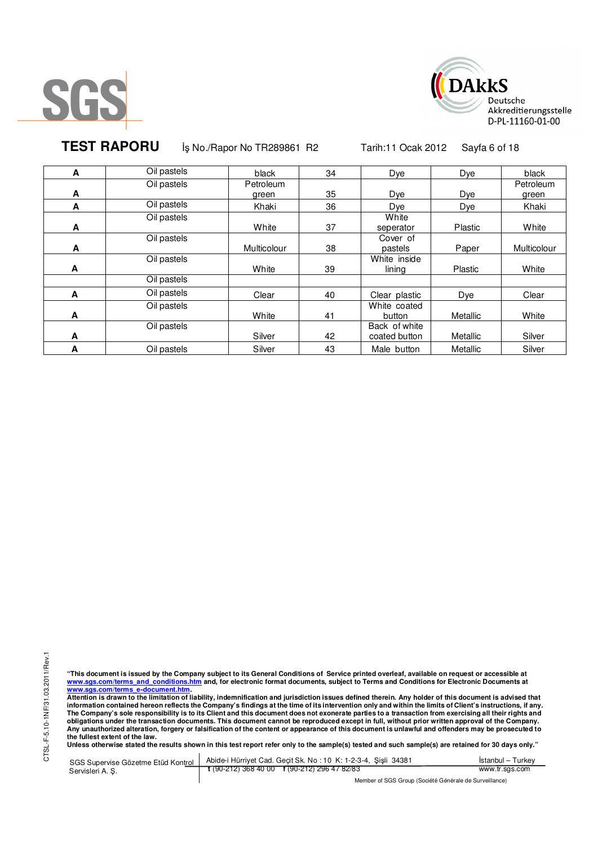



| A | Oil pastels | black       | 34 | Dye           | Dye      | black       |
|---|-------------|-------------|----|---------------|----------|-------------|
|   | Oil pastels | Petroleum   |    |               |          | Petroleum   |
| A |             | green       | 35 | Dye           | Dye      | green       |
| A | Oil pastels | Khaki       | 36 | Dye           | Dye      | Khaki       |
|   | Oil pastels |             |    | White         |          |             |
| A |             | White       | 37 | seperator     | Plastic  | White       |
|   | Oil pastels |             |    | Cover of      |          |             |
| A |             | Multicolour | 38 | pastels       | Paper    | Multicolour |
|   | Oil pastels |             |    | White inside  |          |             |
| A |             | White       | 39 | lining        | Plastic  | White       |
|   | Oil pastels |             |    |               |          |             |
| A | Oil pastels | Clear       | 40 | Clear plastic | Dye      | Clear       |
|   | Oil pastels |             |    | White coated  |          |             |
| A |             | White       | 41 | button        | Metallic | White       |
|   | Oil pastels |             |    | Back of white |          |             |
| A |             | Silver      | 42 | coated button | Metallic | Silver      |
| A | Oil pastels | Silver      | 43 | Male button   | Metallic | Silver      |

**TEST RAPORU** *is No./Rapor No TR289861 R2* Tarih:11 Ocak 2012 Sayfa 6 of 18

CTSL-F-5.10-1NF/31.03.2011/Rev.1 CTSL-F-5.10-1NF/31.03.2011/Rev.1

"This document is issued by the Company subject to its General Conditions of Service printed overleaf, available on request or accessible at<br>www.sgs.com/terms\_and\_conditions.htm\_and, for electronic format documents, subjec <mark>www.sgs.com/terms\_e-document.htm.</mark><br>Attention is drawn to the limitation of liability, indemnification and jurisdiction issues defined therein. Any holder of this document is advised that

information contained hereon reflects the Company's findings at the time of its intervention only and within the limits of Client's instructions, if any.<br>The Company's sole responsibility is to its Client and this document obligations under the transaction documents. This document cannot be reproduced except in full, without prior written approval of the Company.<br>Any unauthorized alteration, forgery or falsification of the content or appeara

**Unless otherwise stated the results shown in this test report refer only to the sample(s) tested and such sample(s) are retained for 30 days only."** 

SGS Supervise Gözetme Etüd Kontrol Servisleri A. Ş. Abide-i Hürriyet Cad. Geçit Sk. No : 10 K: 1-2-3-4, Şişli 34381 **t** (90-212) 368 40 00 **f** (90-212) 296 47 82/83 İstanbul – Turkey www.tr.sgs.com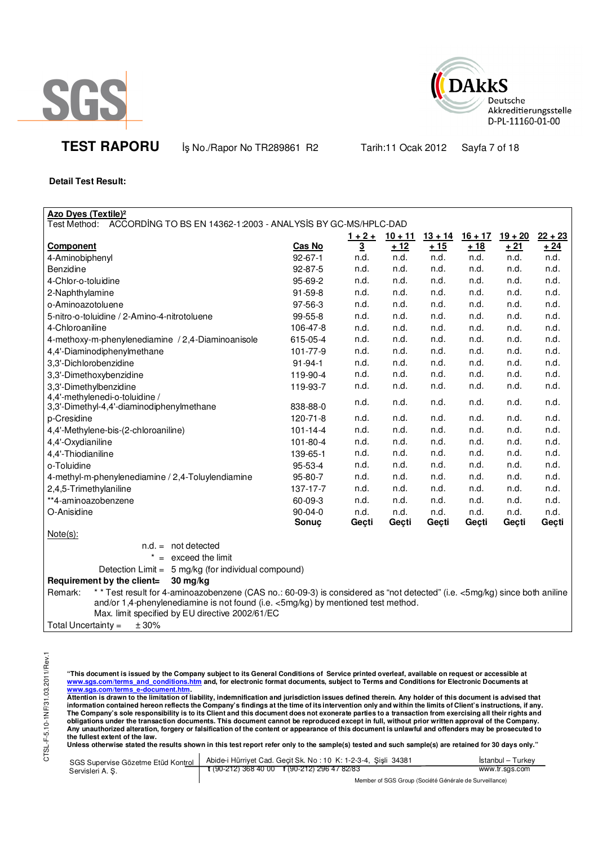



**TEST RAPORU** iş No./Rapor No TR289861 R2 Tarih:11 Ocak 2012 Sayfa 7 of 18

**Detail Test Result:**

| Azo Dyes (Textile) <sup>2</sup>                                                                                                                                                                                                                                               |                |                |           |           |           |         |           |
|-------------------------------------------------------------------------------------------------------------------------------------------------------------------------------------------------------------------------------------------------------------------------------|----------------|----------------|-----------|-----------|-----------|---------|-----------|
| Test Method: ACCORDING TO BS EN 14362-1:2003 - ANALYSIS BY GC-MS/HPLC-DAD                                                                                                                                                                                                     |                | $1 + 2 +$      | $10 + 11$ | $13 + 14$ | $16 + 17$ | $19+20$ | $22 + 23$ |
| <b>Component</b>                                                                                                                                                                                                                                                              | Cas No         | $\overline{3}$ | $+12$     | $+15$     | $+18$     | $+21$   | ±24       |
| 4-Aminobiphenyl                                                                                                                                                                                                                                                               | $92 - 67 - 1$  | n.d.           | n.d.      | n.d.      | n.d.      | n.d.    | n.d.      |
| <b>Benzidine</b>                                                                                                                                                                                                                                                              | 92-87-5        | n.d.           | n.d.      | n.d.      | n.d.      | n.d.    | n.d.      |
| 4-Chlor-o-toluidine                                                                                                                                                                                                                                                           | 95-69-2        | n.d.           | n.d.      | n.d.      | n.d.      | n.d.    | n.d.      |
| 2-Naphthylamine                                                                                                                                                                                                                                                               | 91-59-8        | n.d.           | n.d.      | n.d.      | n.d.      | n.d.    | n.d.      |
| o-Aminoazotoluene                                                                                                                                                                                                                                                             | 97-56-3        | n.d.           | n.d.      | n.d.      | n.d.      | n.d.    | n.d.      |
| 5-nitro-o-toluidine / 2-Amino-4-nitrotoluene                                                                                                                                                                                                                                  | 99-55-8        | n.d.           | n.d.      | n.d.      | n.d.      | n.d.    | n.d.      |
| 4-Chloroaniline                                                                                                                                                                                                                                                               | 106-47-8       | n.d.           | n.d.      | n.d.      | n.d.      | n.d.    | n.d.      |
| 4-methoxy-m-phenylenediamine / 2,4-Diaminoanisole                                                                                                                                                                                                                             | 615-05-4       | n.d.           | n.d.      | n.d.      | n.d.      | n.d.    | n.d.      |
| 4,4'-Diaminodiphenylmethane                                                                                                                                                                                                                                                   | 101-77-9       | n.d.           | n.d.      | n.d.      | n.d.      | n.d.    | n.d.      |
| 3,3'-Dichlorobenzidine                                                                                                                                                                                                                                                        | 91-94-1        | n.d.           | n.d.      | n.d.      | n.d.      | n.d.    | n.d.      |
| 3,3'-Dimethoxybenzidine                                                                                                                                                                                                                                                       | 119-90-4       | n.d.           | n.d.      | n.d.      | n.d.      | n.d.    | n.d.      |
| 3,3'-Dimethylbenzidine                                                                                                                                                                                                                                                        | 119-93-7       | n.d.           | n.d.      | n.d.      | n.d.      | n.d.    | n.d.      |
| 4,4'-methylenedi-o-toluidine /<br>3,3'-Dimethyl-4,4'-diaminodiphenylmethane                                                                                                                                                                                                   | 838-88-0       | n.d.           | n.d.      | n.d.      | n.d.      | n.d.    | n.d.      |
| p-Cresidine                                                                                                                                                                                                                                                                   | 120-71-8       | n.d.           | n.d.      | n.d.      | n.d.      | n.d.    | n.d.      |
| 4,4'-Methylene-bis-(2-chloroaniline)                                                                                                                                                                                                                                          | $101 - 14 - 4$ | n.d.           | n.d.      | n.d.      | n.d.      | n.d.    | n.d.      |
| 4,4'-Oxydianiline                                                                                                                                                                                                                                                             | 101-80-4       | n.d.           | n.d.      | n.d.      | n.d.      | n.d.    | n.d.      |
| 4,4'-Thiodianiline                                                                                                                                                                                                                                                            | 139-65-1       | n.d.           | n.d.      | n.d.      | n.d.      | n.d.    | n.d.      |
| o-Toluidine                                                                                                                                                                                                                                                                   | 95-53-4        | n.d.           | n.d.      | n.d.      | n.d.      | n.d.    | n.d.      |
| 4-methyl-m-phenylenediamine / 2,4-Toluylendiamine                                                                                                                                                                                                                             | 95-80-7        | n.d.           | n.d.      | n.d.      | n.d.      | n.d.    | n.d.      |
| 2,4,5-Trimethylaniline                                                                                                                                                                                                                                                        | 137-17-7       | n.d.           | n.d.      | n.d.      | n.d.      | n.d.    | n.d.      |
| **4-aminoazobenzene                                                                                                                                                                                                                                                           | 60-09-3        | n.d.           | n.d.      | n.d.      | n.d.      | n.d.    | n.d.      |
| O-Anisidine                                                                                                                                                                                                                                                                   | 90-04-0        | n.d.           | n.d.      | n.d.      | n.d.      | n.d.    | n.d.      |
|                                                                                                                                                                                                                                                                               | Sonuç          | Geçti          | Geçti     | Geçti     | Geçti     | Geçti   | Geçti     |
| Note(s):                                                                                                                                                                                                                                                                      |                |                |           |           |           |         |           |
| $n.d. = not detected$                                                                                                                                                                                                                                                         |                |                |           |           |           |         |           |
| exceed the limit                                                                                                                                                                                                                                                              |                |                |           |           |           |         |           |
| Detection Limit = 5 mg/kg (for individual compound)                                                                                                                                                                                                                           |                |                |           |           |           |         |           |
| Requirement by the client=<br>$30 \text{ mg/kg}$                                                                                                                                                                                                                              |                |                |           |           |           |         |           |
| * * Test result for 4-aminoazobenzene (CAS no.: 60-09-3) is considered as "not detected" (i.e. <5mg/kg) since both aniline<br>Remark:<br>and/or 1,4-phenylenediamine is not found (i.e. <5mg/kg) by mentioned test method.<br>Max. limit specified by EU directive 2002/61/EC |                |                |           |           |           |         |           |
|                                                                                                                                                                                                                                                                               |                |                |           |           |           |         |           |

Total Uncertainty =  $\pm 30\%$ 

"This document is issued by the Company subject to its General Conditions of Service printed overleaf, available on request or accessible at<br>www.sgs.com/terms\_and\_conditions.htm\_and, for electronic format documents, subjec

<mark>www.sgs.com/terms\_e-document.htm.</mark><br>Attention is drawn to the limitation of liability, indemnification and jurisdiction issues defined therein. Any holder of this document is advised that information contained hereon reflects the Company's findings at the time of its intervention only and within the limits of Client's instructions, if any.<br>The Company's sole responsibility is to its Client and this document obligations under the transaction documents. This document cannot be reproduced except in full, without prior written approval of the Company.<br>Any unauthorized alteration, forgery or falsification of the content or appeara

Unless otherwise stated the results shown in this test report refer only to the sample(s) tested and such sample(s) are retained for 30 days only."

|                  | SGS Supervise Gözetme Etüd Kontrol   Abide-i Hürriyet Cad. Geçit Sk. No: 10 K: 1-2-3-4, Sişli 34381 | Istanbul – Turkey |
|------------------|-----------------------------------------------------------------------------------------------------|-------------------|
| Servisleri A. S. | $\frac{1}{2}$ (90-212) 368 40 00 f (90-212) 296 47 82/83                                            | www.tr.sgs.com    |
|                  | Member of SGS Group (Société Générale de Surveillance)                                              |                   |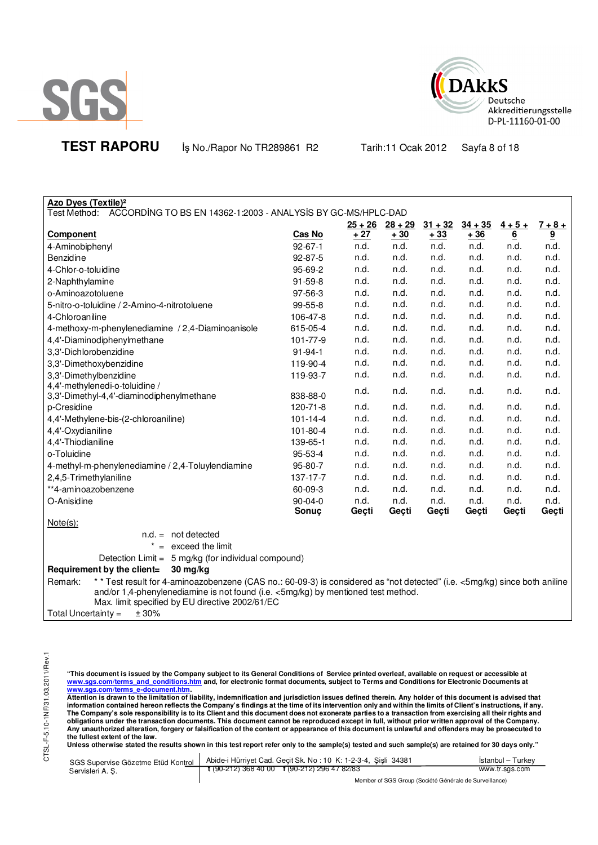



**TEST RAPORU i**ş No./Rapor No TR289861 R2 Tarih:11 Ocak 2012 Sayfa 8 of 18

| Azo Dyes (Textile) <sup>2</sup>                                                                                                       |                |           |           |           |           |                  |           |
|---------------------------------------------------------------------------------------------------------------------------------------|----------------|-----------|-----------|-----------|-----------|------------------|-----------|
| Test Method:<br>ACCORDING TO BS EN 14362-1:2003 - ANALYSIS BY GC-MS/HPLC-DAD                                                          |                |           |           |           |           |                  |           |
|                                                                                                                                       |                | $25 + 26$ | $28 + 29$ | $31 + 32$ | $34 + 35$ | $\frac{4+5+}{5}$ | $7 + 8 +$ |
| Component                                                                                                                             | Cas No         | $+27$     | ± 30      | $+33$     | $+36$     | $6\overline{6}$  | 9         |
| 4-Aminobiphenyl                                                                                                                       | $92 - 67 - 1$  | n.d.      | n.d.      | n.d.      | n.d.      | n.d.             | n.d.      |
| Benzidine                                                                                                                             | 92-87-5        | n.d.      | n.d.      | n.d.      | n.d.      | n.d.             | n.d.      |
| 4-Chlor-o-toluidine                                                                                                                   | 95-69-2        | n.d.      | n.d.      | n.d.      | n.d.      | n.d.             | n.d.      |
| 2-Naphthylamine                                                                                                                       | 91-59-8        | n.d.      | n.d.      | n.d.      | n.d.      | n.d.             | n.d.      |
| o-Aminoazotoluene                                                                                                                     | 97-56-3        | n.d.      | n.d.      | n.d.      | n.d.      | n.d.             | n.d.      |
| 5-nitro-o-toluidine / 2-Amino-4-nitrotoluene                                                                                          | 99-55-8        | n.d.      | n.d.      | n.d.      | n.d.      | n.d.             | n.d.      |
| 4-Chloroaniline                                                                                                                       | 106-47-8       | n.d.      | n.d.      | n.d.      | n.d.      | n.d.             | n.d.      |
| 4-methoxy-m-phenylenediamine / 2,4-Diaminoanisole                                                                                     | 615-05-4       | n.d.      | n.d.      | n.d.      | n.d.      | n.d.             | n.d.      |
| 4,4'-Diaminodiphenylmethane                                                                                                           | 101-77-9       | n.d.      | n.d.      | n.d.      | n.d.      | n.d.             | n.d.      |
| 3.3'-Dichlorobenzidine                                                                                                                | $91 - 94 - 1$  | n.d.      | n.d.      | n.d.      | n.d.      | n.d.             | n.d.      |
| 3,3'-Dimethoxybenzidine                                                                                                               | 119-90-4       | n.d.      | n.d.      | n.d.      | n.d.      | n.d.             | n.d.      |
| 3,3'-Dimethylbenzidine                                                                                                                | 119-93-7       | n.d.      | n.d.      | n.d.      | n.d.      | n.d.             | n.d.      |
| 4,4'-methylenedi-o-toluidine /                                                                                                        |                | n.d.      | n.d.      | n.d.      | n.d.      | n.d.             | n.d.      |
| 3,3'-Dimethyl-4,4'-diaminodiphenylmethane                                                                                             | 838-88-0       |           |           |           |           |                  |           |
| p-Cresidine                                                                                                                           | 120-71-8       | n.d.      | n.d.      | n.d.      | n.d.      | n.d.             | n.d.      |
| 4,4'-Methylene-bis-(2-chloroaniline)                                                                                                  | $101 - 14 - 4$ | n.d.      | n.d.      | n.d.      | n.d.      | n.d.             | n.d.      |
| 4,4'-Oxydianiline                                                                                                                     | 101-80-4       | n.d.      | n.d.      | n.d.      | n.d.      | n.d.             | n.d.      |
| 4,4'-Thiodianiline                                                                                                                    | 139-65-1       | n.d.      | n.d.      | n.d.      | n.d.      | n.d.             | n.d.      |
| o-Toluidine                                                                                                                           | 95-53-4        | n.d.      | n.d.      | n.d.      | n.d.      | n.d.             | n.d.      |
| 4-methyl-m-phenylenediamine / 2,4-Toluylendiamine                                                                                     | 95-80-7        | n.d.      | n.d.      | n.d.      | n.d.      | n.d.             | n.d.      |
| 2,4,5-Trimethylaniline                                                                                                                | 137-17-7       | n.d.      | n.d.      | n.d.      | n.d.      | n.d.             | n.d.      |
| **4-aminoazobenzene                                                                                                                   | 60-09-3        | n.d.      | n.d.      | n.d.      | n.d.      | n.d.             | n.d.      |
| O-Anisidine                                                                                                                           | $90 - 04 - 0$  | n.d.      | n.d.      | n.d.      | n.d.      | n.d.             | n.d.      |
|                                                                                                                                       | Sonuç          | Geçti     | Geçti     | Geçti     | Geçti     | Geçti            | Geçti     |
| Note(s):                                                                                                                              |                |           |           |           |           |                  |           |
| $n.d. = not detected$                                                                                                                 |                |           |           |           |           |                  |           |
| $=$ exceed the limit                                                                                                                  |                |           |           |           |           |                  |           |
| Detection Limit = 5 mg/kg (for individual compound)                                                                                   |                |           |           |           |           |                  |           |
| Requirement by the client=<br>$30 \text{ mg/kg}$                                                                                      |                |           |           |           |           |                  |           |
| * * Test result for 4-aminoazobenzene (CAS no.: 60-09-3) is considered as "not detected" (i.e. <5mg/kg) since both aniline<br>Remark: |                |           |           |           |           |                  |           |
| and/or 1,4-phenylenediamine is not found (i.e. <5mg/kg) by mentioned test method.                                                     |                |           |           |           |           |                  |           |
| Max. limit specified by EU directive 2002/61/EC                                                                                       |                |           |           |           |           |                  |           |
| Total Uncertainty =<br>$\pm 30\%$                                                                                                     |                |           |           |           |           |                  |           |

"This document is issued by the Company subject to its General Conditions of Service printed overleaf, available on request or accessible at<br>www.sgs.com/terms\_and\_conditions.htm\_and, for electronic format documents, subjec

<u>www.sgs.com/terms\_e-document.htm.</u><br>Attention is drawn to the limitation of liability, indemnification and jurisdiction issues defined therein. Any holder of this document is advised that<br>information contained hereon refle obligations under the transaction documents. This document cannot be reproduced except in full, without prior written approval of the Company.<br>Any unauthorized alteration, forgery or falsification of the content or appeara

**Unless otherwise stated the results shown in this test report refer only to the sample(s) tested and such sample(s) are retained for 30 days only."** 

| SGS Supervise Gözetme Etüd Kontrol | Abide-i Hürriyet Cad. Geçit Sk. No: 10 K: 1-2-3-4, Şişli 34381 | Istanbul – Turkey |
|------------------------------------|----------------------------------------------------------------|-------------------|
| Servisleri A. S.                   | $\frac{1}{2}$ (90-212) 368 40 00 f (90-212) 296 47 82/83       | www.tr.sgs.com    |
|                                    | Mambar of BCB Crown (Booidtó Cápárolo de Buruaillonge)         |                   |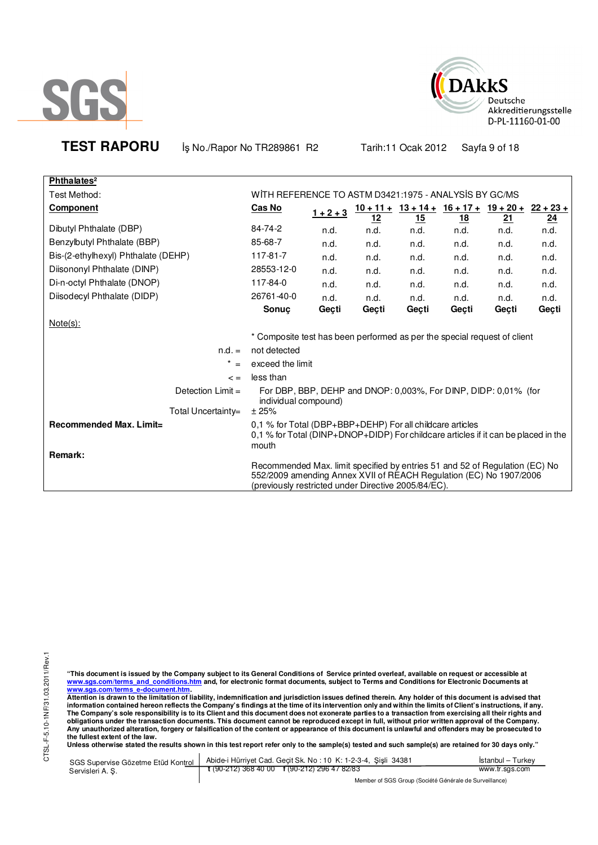



**TEST RAPORU** iş No./Rapor No TR289861 R2 Tarih:11 Ocak 2012 Sayfa 9 of 18

| Phthalates <sup>2</sup>             |                                                                                    |                                                       |            |                                                                                      |            |       |                  |  |  |
|-------------------------------------|------------------------------------------------------------------------------------|-------------------------------------------------------|------------|--------------------------------------------------------------------------------------|------------|-------|------------------|--|--|
| Test Method:                        |                                                                                    | WITH REFERENCE TO ASTM D3421:1975 - ANALYSIS BY GC/MS |            |                                                                                      |            |       |                  |  |  |
| <b>Component</b>                    | Cas No                                                                             | $1 + 2 + 3$                                           |            | $\frac{10 + 11 + 13 + 14 + 16 + 17 + 19 + 20 + 22 + 23 + 1}{10 + 11 + 11 + 11 + 11}$ |            |       |                  |  |  |
|                                     |                                                                                    |                                                       | <u> 12</u> | <u> 15</u>                                                                           | <u> 18</u> | 21    | $\underline{24}$ |  |  |
| Dibutyl Phthalate (DBP)             | 84-74-2                                                                            | n.d.                                                  | n.d.       | n.d.                                                                                 | n.d.       | n.d.  | n.d.             |  |  |
| Benzylbutyl Phthalate (BBP)         | 85-68-7                                                                            | n.d.                                                  | n.d.       | n.d.                                                                                 | n.d.       | n.d.  | n.d.             |  |  |
| Bis-(2-ethylhexyl) Phthalate (DEHP) | 117-81-7                                                                           | n.d.                                                  | n.d.       | n.d.                                                                                 | n.d.       | n.d.  | n.d.             |  |  |
| Diisononyl Phthalate (DINP)         | 28553-12-0                                                                         | n.d.                                                  | n.d.       | n.d.                                                                                 | n.d.       | n.d.  | n.d.             |  |  |
| Di-n-octyl Phthalate (DNOP)         | 117-84-0                                                                           | n.d.                                                  | n.d.       | n.d.                                                                                 | n.d.       | n.d.  | n.d.             |  |  |
| Diisodecyl Phthalate (DIDP)         | 26761-40-0                                                                         | n.d.                                                  | n.d.       | n.d.                                                                                 | n.d.       | n.d.  | n.d.             |  |  |
|                                     | Sonuc                                                                              | Geçti                                                 | Geçti      | Geçti                                                                                | Geçti      | Geçti | Geçti            |  |  |
| $Note(s)$ :                         |                                                                                    |                                                       |            |                                                                                      |            |       |                  |  |  |
|                                     | * Composite test has been performed as per the special request of client           |                                                       |            |                                                                                      |            |       |                  |  |  |
| $n.d. =$                            | not detected                                                                       |                                                       |            |                                                                                      |            |       |                  |  |  |
| *<br>$=$                            | exceed the limit                                                                   |                                                       |            |                                                                                      |            |       |                  |  |  |
| $\leq$ =                            | less than                                                                          |                                                       |            |                                                                                      |            |       |                  |  |  |
| Detection $Limit =$                 | For DBP, BBP, DEHP and DNOP: 0,003%, For DINP, DIDP: 0,01% (for                    |                                                       |            |                                                                                      |            |       |                  |  |  |
|                                     | individual compound)                                                               |                                                       |            |                                                                                      |            |       |                  |  |  |
| Total Uncertainty=                  | ±25%                                                                               |                                                       |            |                                                                                      |            |       |                  |  |  |
| Recommended Max. Limit=             | 0,1 % for Total (DBP+BBP+DEHP) For all childcare articles                          |                                                       |            |                                                                                      |            |       |                  |  |  |
|                                     | 0.1 % for Total (DINP+DNOP+DIDP) For childcare articles if it can be placed in the |                                                       |            |                                                                                      |            |       |                  |  |  |
| Remark:                             | mouth                                                                              |                                                       |            |                                                                                      |            |       |                  |  |  |
|                                     | Recommended Max. limit specified by entries 51 and 52 of Regulation (EC) No        |                                                       |            |                                                                                      |            |       |                  |  |  |
|                                     | 552/2009 amending Annex XVII of REACH Regulation (EC) No 1907/2006                 |                                                       |            |                                                                                      |            |       |                  |  |  |
|                                     | (previously restricted under Directive 2005/84/EC).                                |                                                       |            |                                                                                      |            |       |                  |  |  |

CTSL-F-5.10-1NF/31.03.2011/Rev.1 CTSL-F-5.10-1NF/31.03.2011/Rev.1

"This document is issued by the Company subject to its General Conditions of Service printed overleaf, available on request or accessible at<br>www.sgs.com/terms\_and\_conditions.htm\_and, for electronic format documents, subjec <mark>www.sgs.com/terms\_e-document.htm.</mark><br>Attention is drawn to the limitation of liability, indemnification and jurisdiction issues defined therein. Any holder of this document is advised that

information contained hereon reflects the Company's findings at the time of its intervention only and within the limits of Client's instructions, if any.<br>The Company's sole responsibility is to its Client and this document obligations under the transaction documents. This document cannot be reproduced except in full, without prior written approval of the Company.<br>Any unauthorized alteration, forgery or falsification of the content or appeara

**Unless otherwise stated the results shown in this test report refer only to the sample(s) tested and such sample(s) are retained for 30 days only."** 

SGS Supervise Gözetme Etüd Kontrol Servisleri A. Ş. Abide-i Hürriyet Cad. Geçit Sk. No : 10 K: 1-2-3-4, Şişli 34381 **t** (90-212) 368 40 00 **f** (90-212) 296 47 82/83 İstanbul – Turkey www.tr.sgs.com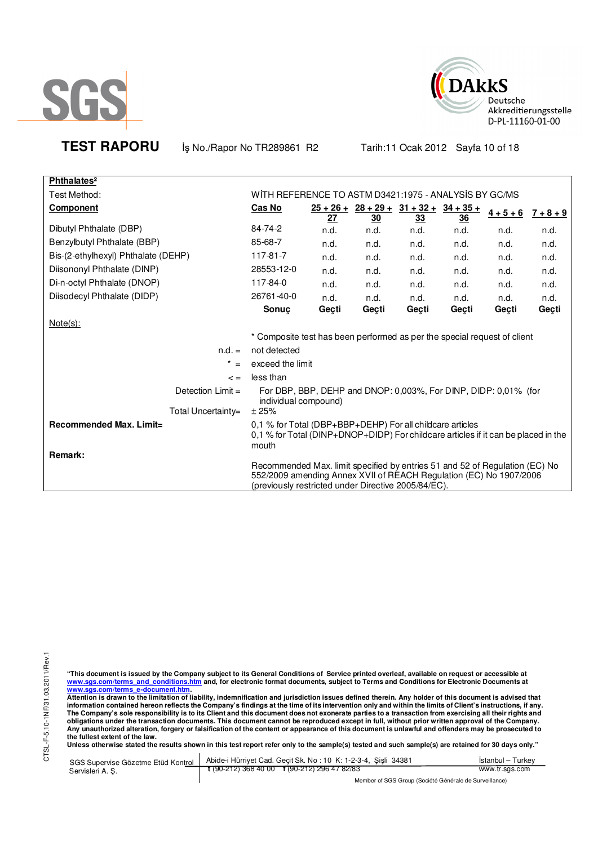



TEST RAPORU **by No./Rapor No TR289861 R2** Tarih:11 Ocak 2012 Sayfa 10 of 18

| Phthalates <sup>2</sup>                   |                                                                                                                                                                                                          |       |                |                                           |                |             |             |
|-------------------------------------------|----------------------------------------------------------------------------------------------------------------------------------------------------------------------------------------------------------|-------|----------------|-------------------------------------------|----------------|-------------|-------------|
| Test Method:                              | WITH REFERENCE TO ASTM D3421:1975 - ANALYSIS BY GC/MS                                                                                                                                                    |       |                |                                           |                |             |             |
| <b>Component</b>                          | <u>Cas No</u>                                                                                                                                                                                            |       |                | $25 + 26 + 28 + 29 + 31 + 32 + 34 + 35 +$ |                | $4 + 5 + 6$ | $7 + 8 + 9$ |
|                                           |                                                                                                                                                                                                          | 27    | $\frac{30}{2}$ | 33                                        | $\frac{36}{5}$ |             |             |
| Dibutyl Phthalate (DBP)                   | 84-74-2                                                                                                                                                                                                  | n.d.  | n.d.           | n.d.                                      | n.d.           | n.d.        | n.d.        |
| Benzylbutyl Phthalate (BBP)               | 85-68-7                                                                                                                                                                                                  | n.d.  | n.d.           | n.d.                                      | n.d.           | n.d.        | n.d.        |
| Bis-(2-ethylhexyl) Phthalate (DEHP)       | 117-81-7                                                                                                                                                                                                 | n.d.  | n.d.           | n.d.                                      | n.d.           | n.d.        | n.d.        |
| Diisononyl Phthalate (DINP)               | 28553-12-0                                                                                                                                                                                               | n.d.  | n.d.           | n.d.                                      | n.d.           | n.d.        | n.d.        |
| Di-n-octyl Phthalate (DNOP)               | 117-84-0                                                                                                                                                                                                 | n.d.  | n.d.           | n.d.                                      | n.d.           | n.d.        | n.d.        |
| Diisodecyl Phthalate (DIDP)               | 26761-40-0                                                                                                                                                                                               | n.d.  | n.d.           | n.d.                                      | n.d.           | n.d.        | n.d.        |
|                                           | <b>Sonuc</b>                                                                                                                                                                                             | Geçti | Gecti          | Gecti                                     | Geçti          | Gecti       | Geçti       |
| Note(s):                                  |                                                                                                                                                                                                          |       |                |                                           |                |             |             |
|                                           | * Composite test has been performed as per the special request of client                                                                                                                                 |       |                |                                           |                |             |             |
| $n.d. =$                                  | not detected                                                                                                                                                                                             |       |                |                                           |                |             |             |
| $=$                                       | exceed the limit                                                                                                                                                                                         |       |                |                                           |                |             |             |
| $\leq$ =                                  | less than                                                                                                                                                                                                |       |                |                                           |                |             |             |
| Detection $Limit =$                       | For DBP, BBP, DEHP and DNOP: 0,003%, For DINP, DIDP: 0,01% (for<br>individual compound)                                                                                                                  |       |                |                                           |                |             |             |
| Total Uncertainty=                        | ±25%                                                                                                                                                                                                     |       |                |                                           |                |             |             |
| <b>Recommended Max. Limit=</b><br>Remark: | 0.1 % for Total (DBP+BBP+DEHP) For all childcare articles<br>0.1 % for Total (DINP+DNOP+DIDP) For childcare articles if it can be placed in the<br>mouth                                                 |       |                |                                           |                |             |             |
|                                           | Recommended Max. limit specified by entries 51 and 52 of Regulation (EC) No<br>552/2009 amending Annex XVII of REACH Regulation (EC) No 1907/2006<br>(previously restricted under Directive 2005/84/EC). |       |                |                                           |                |             |             |

CTSL-F-5.10-1NF/31.03.2011/Rev.1 CTSL-F-5.10-1NF/31.03.2011/Rev.1

"This document is issued by the Company subject to its General Conditions of Service printed overleaf, available on request or accessible at<br>www.sgs.com/terms\_and\_conditions.htm\_and, for electronic format documents, subjec

<u>www.sgs.com/terms\_e-document.htm.</u><br>Attention is drawn to the limitation of liability, indemnification and jurisdiction issues defined therein. Any holder of this document is advised that<br>information contained hereon refle obligations under the transaction documents. This document cannot be reproduced except in full, without prior written approval of the Company.<br>Any unauthorized alteration, forgery or falsification of the content or appeara

**Unless otherwise stated the results shown in this test report refer only to the sample(s) tested and such sample(s) are retained for 30 days only."** 

| SGS Supervise Gözetme Etüd Kontrol | Abide-i Hürriyet Cad. Gecit Sk. No: 10 K: 1-2-3-4, Sisli 34381 | Istanbul – Turkev |
|------------------------------------|----------------------------------------------------------------|-------------------|
| Servisleri A. S.                   | $\frac{1}{2}$ (90-212) 368 40 00 f (90-212) 296 47 82/83       | www.tr.sgs.com    |
|                                    | Member of SGS Group (Société Générale de Surveillance)         |                   |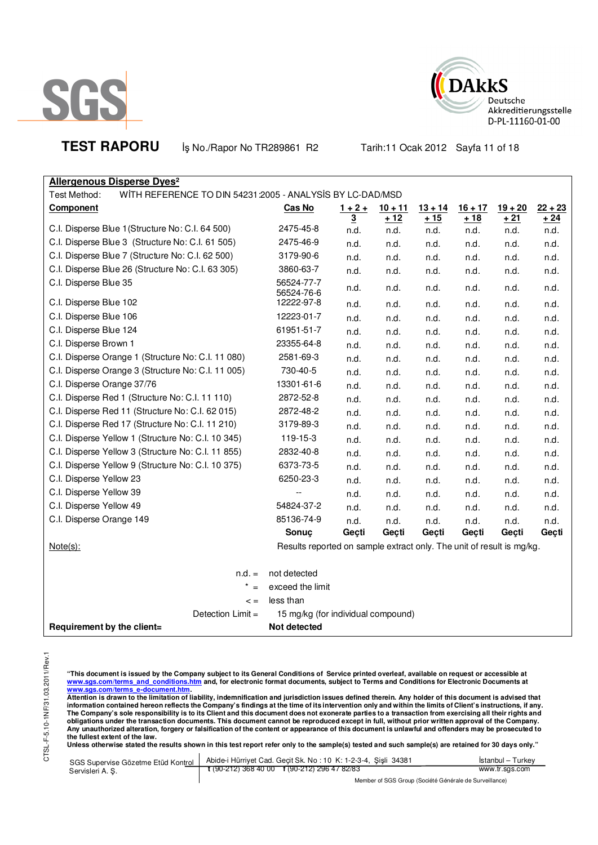



TEST RAPORU **by No./Rapor No TR289861 R2** Tarih:11 Ocak 2012 Sayfa 11 of 18

| Test Method:<br>WITH REFERENCE TO DIN 54231:2005 - ANALYSIS BY LC-DAD/MSD<br>$1 + 2 +$<br>$16 + 17$<br>$19 + 20$<br>$22 + 23$<br><b>Component</b><br>Cas No<br>$10 + 11$<br>$13 + 14$<br>$\overline{\mathbf{3}}$<br>$+12$<br>$+15$<br>$+18$<br>$+21$<br>$+24$<br>C.I. Disperse Blue 1 (Structure No: C.I. 64 500)<br>2475-45-8<br>n.d.<br>n.d.<br>n.d.<br>n.d.<br>n.d.<br>n.d.<br>C.I. Disperse Blue 3 (Structure No: C.I. 61 505)<br>2475-46-9<br>n.d.<br>n.d.<br>n.d.<br>n.d.<br>n.d.<br>n.d.<br>C.I. Disperse Blue 7 (Structure No: C.I. 62 500)<br>3179-90-6<br>n.d.<br>n.d.<br>n.d.<br>n.d.<br>n.d.<br>n.d.<br>C.I. Disperse Blue 26 (Structure No: C.I. 63 305)<br>3860-63-7<br>n.d.<br>n.d.<br>n.d.<br>n.d.<br>n.d.<br>n.d.<br>C.I. Disperse Blue 35<br>56524-77-7<br>n.d.<br>n.d.<br>n.d.<br>n.d.<br>n.d.<br>n.d.<br>56524-76-6<br>C.I. Disperse Blue 102<br>12222-97-8<br>n.d.<br>n.d.<br>n.d.<br>n.d.<br>n.d.<br>n.d.<br>12223-01-7<br>C.I. Disperse Blue 106<br>n.d.<br>n.d.<br>n.d.<br>n.d.<br>n.d.<br>n.d.<br>C.I. Disperse Blue 124<br>61951-51-7<br>n.d.<br>n.d.<br>n.d.<br>n.d.<br>n.d.<br>n.d.<br>C.I. Disperse Brown 1<br>23355-64-8<br>n.d.<br>n.d.<br>n.d.<br>n.d.<br>n.d.<br>n.d.<br>2581-69-3<br>C.I. Disperse Orange 1 (Structure No: C.I. 11 080)<br>n.d.<br>n.d.<br>n.d.<br>n.d.<br>n.d.<br>n.d.<br>C.I. Disperse Orange 3 (Structure No: C.I. 11 005)<br>730-40-5<br>n.d.<br>n.d.<br>n.d.<br>n.d.<br>n.d.<br>n.d.<br>13301-61-6<br>C.I. Disperse Orange 37/76<br>n.d.<br>n.d.<br>n.d.<br>n.d.<br>n.d.<br>n.d.<br>C.I. Disperse Red 1 (Structure No: C.I. 11 110)<br>2872-52-8<br>n.d.<br>n.d.<br>n.d.<br>n.d.<br>n.d.<br>n.d.<br>C.I. Disperse Red 11 (Structure No: C.I. 62 015)<br>2872-48-2<br>n.d.<br>n.d.<br>n.d.<br>n.d.<br>n.d.<br>n.d.<br>C.I. Disperse Red 17 (Structure No: C.I. 11 210)<br>3179-89-3<br>n.d.<br>n.d.<br>n.d.<br>n.d.<br>n.d.<br>n.d.<br>C.I. Disperse Yellow 1 (Structure No: C.I. 10 345)<br>119-15-3<br>n.d.<br>n.d.<br>n.d.<br>n.d.<br>n.d.<br>n.d.<br>C.I. Disperse Yellow 3 (Structure No: C.I. 11 855)<br>2832-40-8<br>n.d.<br>n.d.<br>n.d.<br>n.d.<br>n.d.<br>n.d.<br>C.I. Disperse Yellow 9 (Structure No: C.I. 10 375)<br>6373-73-5<br>n.d.<br>n.d.<br>n.d.<br>n.d.<br>n.d.<br>n.d.<br>C.I. Disperse Yellow 23<br>6250-23-3<br>n.d.<br>n.d.<br>n.d.<br>n.d.<br>n.d.<br>n.d.<br>C.I. Disperse Yellow 39<br>n.d.<br>n.d.<br>n.d.<br>n.d.<br>n.d.<br>n.d.<br>C.I. Disperse Yellow 49<br>54824-37-2<br>n.d.<br>n.d.<br>n.d.<br>n.d.<br>n.d.<br>n.d.<br>C.I. Disperse Orange 149<br>85136-74-9<br>n.d.<br>n.d.<br>n.d.<br>n.d.<br>n.d.<br>n.d.<br>Sonuç<br>Geçti<br>Geçti<br>Geçti<br>Geçti<br>Geçti<br>Geçti<br>Results reported on sample extract only. The unit of result is mg/kg.<br>$Note(s)$ :<br>$n.d. =$<br>not detected<br>exceed the limit<br>less than<br>$\lt$ =<br>Detection Limit =<br>15 mg/kg (for individual compound)<br>Requirement by the client=<br>Not detected | <b>Allergenous Disperse Dyes<sup>2</sup></b> |  |  |  |  |
|-------------------------------------------------------------------------------------------------------------------------------------------------------------------------------------------------------------------------------------------------------------------------------------------------------------------------------------------------------------------------------------------------------------------------------------------------------------------------------------------------------------------------------------------------------------------------------------------------------------------------------------------------------------------------------------------------------------------------------------------------------------------------------------------------------------------------------------------------------------------------------------------------------------------------------------------------------------------------------------------------------------------------------------------------------------------------------------------------------------------------------------------------------------------------------------------------------------------------------------------------------------------------------------------------------------------------------------------------------------------------------------------------------------------------------------------------------------------------------------------------------------------------------------------------------------------------------------------------------------------------------------------------------------------------------------------------------------------------------------------------------------------------------------------------------------------------------------------------------------------------------------------------------------------------------------------------------------------------------------------------------------------------------------------------------------------------------------------------------------------------------------------------------------------------------------------------------------------------------------------------------------------------------------------------------------------------------------------------------------------------------------------------------------------------------------------------------------------------------------------------------------------------------------------------------------------------------------------------------------------------------------------------------------------------------------------------------------------------------------------------------------------------------------------------------------------------------------------------------------------------------------------------------------------------------------------------|----------------------------------------------|--|--|--|--|
|                                                                                                                                                                                                                                                                                                                                                                                                                                                                                                                                                                                                                                                                                                                                                                                                                                                                                                                                                                                                                                                                                                                                                                                                                                                                                                                                                                                                                                                                                                                                                                                                                                                                                                                                                                                                                                                                                                                                                                                                                                                                                                                                                                                                                                                                                                                                                                                                                                                                                                                                                                                                                                                                                                                                                                                                                                                                                                                                                 |                                              |  |  |  |  |
|                                                                                                                                                                                                                                                                                                                                                                                                                                                                                                                                                                                                                                                                                                                                                                                                                                                                                                                                                                                                                                                                                                                                                                                                                                                                                                                                                                                                                                                                                                                                                                                                                                                                                                                                                                                                                                                                                                                                                                                                                                                                                                                                                                                                                                                                                                                                                                                                                                                                                                                                                                                                                                                                                                                                                                                                                                                                                                                                                 |                                              |  |  |  |  |
|                                                                                                                                                                                                                                                                                                                                                                                                                                                                                                                                                                                                                                                                                                                                                                                                                                                                                                                                                                                                                                                                                                                                                                                                                                                                                                                                                                                                                                                                                                                                                                                                                                                                                                                                                                                                                                                                                                                                                                                                                                                                                                                                                                                                                                                                                                                                                                                                                                                                                                                                                                                                                                                                                                                                                                                                                                                                                                                                                 |                                              |  |  |  |  |
|                                                                                                                                                                                                                                                                                                                                                                                                                                                                                                                                                                                                                                                                                                                                                                                                                                                                                                                                                                                                                                                                                                                                                                                                                                                                                                                                                                                                                                                                                                                                                                                                                                                                                                                                                                                                                                                                                                                                                                                                                                                                                                                                                                                                                                                                                                                                                                                                                                                                                                                                                                                                                                                                                                                                                                                                                                                                                                                                                 |                                              |  |  |  |  |
|                                                                                                                                                                                                                                                                                                                                                                                                                                                                                                                                                                                                                                                                                                                                                                                                                                                                                                                                                                                                                                                                                                                                                                                                                                                                                                                                                                                                                                                                                                                                                                                                                                                                                                                                                                                                                                                                                                                                                                                                                                                                                                                                                                                                                                                                                                                                                                                                                                                                                                                                                                                                                                                                                                                                                                                                                                                                                                                                                 |                                              |  |  |  |  |
|                                                                                                                                                                                                                                                                                                                                                                                                                                                                                                                                                                                                                                                                                                                                                                                                                                                                                                                                                                                                                                                                                                                                                                                                                                                                                                                                                                                                                                                                                                                                                                                                                                                                                                                                                                                                                                                                                                                                                                                                                                                                                                                                                                                                                                                                                                                                                                                                                                                                                                                                                                                                                                                                                                                                                                                                                                                                                                                                                 |                                              |  |  |  |  |
|                                                                                                                                                                                                                                                                                                                                                                                                                                                                                                                                                                                                                                                                                                                                                                                                                                                                                                                                                                                                                                                                                                                                                                                                                                                                                                                                                                                                                                                                                                                                                                                                                                                                                                                                                                                                                                                                                                                                                                                                                                                                                                                                                                                                                                                                                                                                                                                                                                                                                                                                                                                                                                                                                                                                                                                                                                                                                                                                                 |                                              |  |  |  |  |
|                                                                                                                                                                                                                                                                                                                                                                                                                                                                                                                                                                                                                                                                                                                                                                                                                                                                                                                                                                                                                                                                                                                                                                                                                                                                                                                                                                                                                                                                                                                                                                                                                                                                                                                                                                                                                                                                                                                                                                                                                                                                                                                                                                                                                                                                                                                                                                                                                                                                                                                                                                                                                                                                                                                                                                                                                                                                                                                                                 |                                              |  |  |  |  |
|                                                                                                                                                                                                                                                                                                                                                                                                                                                                                                                                                                                                                                                                                                                                                                                                                                                                                                                                                                                                                                                                                                                                                                                                                                                                                                                                                                                                                                                                                                                                                                                                                                                                                                                                                                                                                                                                                                                                                                                                                                                                                                                                                                                                                                                                                                                                                                                                                                                                                                                                                                                                                                                                                                                                                                                                                                                                                                                                                 |                                              |  |  |  |  |
|                                                                                                                                                                                                                                                                                                                                                                                                                                                                                                                                                                                                                                                                                                                                                                                                                                                                                                                                                                                                                                                                                                                                                                                                                                                                                                                                                                                                                                                                                                                                                                                                                                                                                                                                                                                                                                                                                                                                                                                                                                                                                                                                                                                                                                                                                                                                                                                                                                                                                                                                                                                                                                                                                                                                                                                                                                                                                                                                                 |                                              |  |  |  |  |
|                                                                                                                                                                                                                                                                                                                                                                                                                                                                                                                                                                                                                                                                                                                                                                                                                                                                                                                                                                                                                                                                                                                                                                                                                                                                                                                                                                                                                                                                                                                                                                                                                                                                                                                                                                                                                                                                                                                                                                                                                                                                                                                                                                                                                                                                                                                                                                                                                                                                                                                                                                                                                                                                                                                                                                                                                                                                                                                                                 |                                              |  |  |  |  |
|                                                                                                                                                                                                                                                                                                                                                                                                                                                                                                                                                                                                                                                                                                                                                                                                                                                                                                                                                                                                                                                                                                                                                                                                                                                                                                                                                                                                                                                                                                                                                                                                                                                                                                                                                                                                                                                                                                                                                                                                                                                                                                                                                                                                                                                                                                                                                                                                                                                                                                                                                                                                                                                                                                                                                                                                                                                                                                                                                 |                                              |  |  |  |  |
|                                                                                                                                                                                                                                                                                                                                                                                                                                                                                                                                                                                                                                                                                                                                                                                                                                                                                                                                                                                                                                                                                                                                                                                                                                                                                                                                                                                                                                                                                                                                                                                                                                                                                                                                                                                                                                                                                                                                                                                                                                                                                                                                                                                                                                                                                                                                                                                                                                                                                                                                                                                                                                                                                                                                                                                                                                                                                                                                                 |                                              |  |  |  |  |
|                                                                                                                                                                                                                                                                                                                                                                                                                                                                                                                                                                                                                                                                                                                                                                                                                                                                                                                                                                                                                                                                                                                                                                                                                                                                                                                                                                                                                                                                                                                                                                                                                                                                                                                                                                                                                                                                                                                                                                                                                                                                                                                                                                                                                                                                                                                                                                                                                                                                                                                                                                                                                                                                                                                                                                                                                                                                                                                                                 |                                              |  |  |  |  |
|                                                                                                                                                                                                                                                                                                                                                                                                                                                                                                                                                                                                                                                                                                                                                                                                                                                                                                                                                                                                                                                                                                                                                                                                                                                                                                                                                                                                                                                                                                                                                                                                                                                                                                                                                                                                                                                                                                                                                                                                                                                                                                                                                                                                                                                                                                                                                                                                                                                                                                                                                                                                                                                                                                                                                                                                                                                                                                                                                 |                                              |  |  |  |  |
|                                                                                                                                                                                                                                                                                                                                                                                                                                                                                                                                                                                                                                                                                                                                                                                                                                                                                                                                                                                                                                                                                                                                                                                                                                                                                                                                                                                                                                                                                                                                                                                                                                                                                                                                                                                                                                                                                                                                                                                                                                                                                                                                                                                                                                                                                                                                                                                                                                                                                                                                                                                                                                                                                                                                                                                                                                                                                                                                                 |                                              |  |  |  |  |
|                                                                                                                                                                                                                                                                                                                                                                                                                                                                                                                                                                                                                                                                                                                                                                                                                                                                                                                                                                                                                                                                                                                                                                                                                                                                                                                                                                                                                                                                                                                                                                                                                                                                                                                                                                                                                                                                                                                                                                                                                                                                                                                                                                                                                                                                                                                                                                                                                                                                                                                                                                                                                                                                                                                                                                                                                                                                                                                                                 |                                              |  |  |  |  |
|                                                                                                                                                                                                                                                                                                                                                                                                                                                                                                                                                                                                                                                                                                                                                                                                                                                                                                                                                                                                                                                                                                                                                                                                                                                                                                                                                                                                                                                                                                                                                                                                                                                                                                                                                                                                                                                                                                                                                                                                                                                                                                                                                                                                                                                                                                                                                                                                                                                                                                                                                                                                                                                                                                                                                                                                                                                                                                                                                 |                                              |  |  |  |  |
|                                                                                                                                                                                                                                                                                                                                                                                                                                                                                                                                                                                                                                                                                                                                                                                                                                                                                                                                                                                                                                                                                                                                                                                                                                                                                                                                                                                                                                                                                                                                                                                                                                                                                                                                                                                                                                                                                                                                                                                                                                                                                                                                                                                                                                                                                                                                                                                                                                                                                                                                                                                                                                                                                                                                                                                                                                                                                                                                                 |                                              |  |  |  |  |
|                                                                                                                                                                                                                                                                                                                                                                                                                                                                                                                                                                                                                                                                                                                                                                                                                                                                                                                                                                                                                                                                                                                                                                                                                                                                                                                                                                                                                                                                                                                                                                                                                                                                                                                                                                                                                                                                                                                                                                                                                                                                                                                                                                                                                                                                                                                                                                                                                                                                                                                                                                                                                                                                                                                                                                                                                                                                                                                                                 |                                              |  |  |  |  |
|                                                                                                                                                                                                                                                                                                                                                                                                                                                                                                                                                                                                                                                                                                                                                                                                                                                                                                                                                                                                                                                                                                                                                                                                                                                                                                                                                                                                                                                                                                                                                                                                                                                                                                                                                                                                                                                                                                                                                                                                                                                                                                                                                                                                                                                                                                                                                                                                                                                                                                                                                                                                                                                                                                                                                                                                                                                                                                                                                 |                                              |  |  |  |  |
|                                                                                                                                                                                                                                                                                                                                                                                                                                                                                                                                                                                                                                                                                                                                                                                                                                                                                                                                                                                                                                                                                                                                                                                                                                                                                                                                                                                                                                                                                                                                                                                                                                                                                                                                                                                                                                                                                                                                                                                                                                                                                                                                                                                                                                                                                                                                                                                                                                                                                                                                                                                                                                                                                                                                                                                                                                                                                                                                                 |                                              |  |  |  |  |
|                                                                                                                                                                                                                                                                                                                                                                                                                                                                                                                                                                                                                                                                                                                                                                                                                                                                                                                                                                                                                                                                                                                                                                                                                                                                                                                                                                                                                                                                                                                                                                                                                                                                                                                                                                                                                                                                                                                                                                                                                                                                                                                                                                                                                                                                                                                                                                                                                                                                                                                                                                                                                                                                                                                                                                                                                                                                                                                                                 |                                              |  |  |  |  |
|                                                                                                                                                                                                                                                                                                                                                                                                                                                                                                                                                                                                                                                                                                                                                                                                                                                                                                                                                                                                                                                                                                                                                                                                                                                                                                                                                                                                                                                                                                                                                                                                                                                                                                                                                                                                                                                                                                                                                                                                                                                                                                                                                                                                                                                                                                                                                                                                                                                                                                                                                                                                                                                                                                                                                                                                                                                                                                                                                 |                                              |  |  |  |  |
|                                                                                                                                                                                                                                                                                                                                                                                                                                                                                                                                                                                                                                                                                                                                                                                                                                                                                                                                                                                                                                                                                                                                                                                                                                                                                                                                                                                                                                                                                                                                                                                                                                                                                                                                                                                                                                                                                                                                                                                                                                                                                                                                                                                                                                                                                                                                                                                                                                                                                                                                                                                                                                                                                                                                                                                                                                                                                                                                                 |                                              |  |  |  |  |
|                                                                                                                                                                                                                                                                                                                                                                                                                                                                                                                                                                                                                                                                                                                                                                                                                                                                                                                                                                                                                                                                                                                                                                                                                                                                                                                                                                                                                                                                                                                                                                                                                                                                                                                                                                                                                                                                                                                                                                                                                                                                                                                                                                                                                                                                                                                                                                                                                                                                                                                                                                                                                                                                                                                                                                                                                                                                                                                                                 |                                              |  |  |  |  |
|                                                                                                                                                                                                                                                                                                                                                                                                                                                                                                                                                                                                                                                                                                                                                                                                                                                                                                                                                                                                                                                                                                                                                                                                                                                                                                                                                                                                                                                                                                                                                                                                                                                                                                                                                                                                                                                                                                                                                                                                                                                                                                                                                                                                                                                                                                                                                                                                                                                                                                                                                                                                                                                                                                                                                                                                                                                                                                                                                 |                                              |  |  |  |  |
|                                                                                                                                                                                                                                                                                                                                                                                                                                                                                                                                                                                                                                                                                                                                                                                                                                                                                                                                                                                                                                                                                                                                                                                                                                                                                                                                                                                                                                                                                                                                                                                                                                                                                                                                                                                                                                                                                                                                                                                                                                                                                                                                                                                                                                                                                                                                                                                                                                                                                                                                                                                                                                                                                                                                                                                                                                                                                                                                                 |                                              |  |  |  |  |
|                                                                                                                                                                                                                                                                                                                                                                                                                                                                                                                                                                                                                                                                                                                                                                                                                                                                                                                                                                                                                                                                                                                                                                                                                                                                                                                                                                                                                                                                                                                                                                                                                                                                                                                                                                                                                                                                                                                                                                                                                                                                                                                                                                                                                                                                                                                                                                                                                                                                                                                                                                                                                                                                                                                                                                                                                                                                                                                                                 |                                              |  |  |  |  |
|                                                                                                                                                                                                                                                                                                                                                                                                                                                                                                                                                                                                                                                                                                                                                                                                                                                                                                                                                                                                                                                                                                                                                                                                                                                                                                                                                                                                                                                                                                                                                                                                                                                                                                                                                                                                                                                                                                                                                                                                                                                                                                                                                                                                                                                                                                                                                                                                                                                                                                                                                                                                                                                                                                                                                                                                                                                                                                                                                 |                                              |  |  |  |  |
|                                                                                                                                                                                                                                                                                                                                                                                                                                                                                                                                                                                                                                                                                                                                                                                                                                                                                                                                                                                                                                                                                                                                                                                                                                                                                                                                                                                                                                                                                                                                                                                                                                                                                                                                                                                                                                                                                                                                                                                                                                                                                                                                                                                                                                                                                                                                                                                                                                                                                                                                                                                                                                                                                                                                                                                                                                                                                                                                                 |                                              |  |  |  |  |
|                                                                                                                                                                                                                                                                                                                                                                                                                                                                                                                                                                                                                                                                                                                                                                                                                                                                                                                                                                                                                                                                                                                                                                                                                                                                                                                                                                                                                                                                                                                                                                                                                                                                                                                                                                                                                                                                                                                                                                                                                                                                                                                                                                                                                                                                                                                                                                                                                                                                                                                                                                                                                                                                                                                                                                                                                                                                                                                                                 |                                              |  |  |  |  |
|                                                                                                                                                                                                                                                                                                                                                                                                                                                                                                                                                                                                                                                                                                                                                                                                                                                                                                                                                                                                                                                                                                                                                                                                                                                                                                                                                                                                                                                                                                                                                                                                                                                                                                                                                                                                                                                                                                                                                                                                                                                                                                                                                                                                                                                                                                                                                                                                                                                                                                                                                                                                                                                                                                                                                                                                                                                                                                                                                 |                                              |  |  |  |  |

"This document is issued by the Company subject to its General Conditions of Service printed overleaf, available on request or accessible at<br>www.sgs.com/terms\_and\_conditions.htm\_and, for electronic format documents, subjec

<u>www.sgs.com/terms\_e-document.htm.</u><br>Attention is drawn to the limitation of liability, indemnification and jurisdiction issues defined therein. Any holder of this document is advised that<br>information contained hereon refle obligations under the transaction documents. This document cannot be reproduced except in full, without prior written approval of the Company.<br>Any unauthorized alteration, forgery or falsification of the content or appeara

**Unless otherwise stated the results shown in this test report refer only to the sample(s) tested and such sample(s) are retained for 30 days only."** 

| SGS Supervise Gözetme Etüd Kontrol | Abide-i Hürriyet Cad. Geçit Sk. No: 10 K: 1-2-3-4, Şişli 34381 | Istanbul - Turkev |  |
|------------------------------------|----------------------------------------------------------------|-------------------|--|
| Servisleri A. S.                   | $\frac{1}{2}$ (90-212) 368 40 00 f (90-212) 296 47 82/83       | www.tr.sgs.com    |  |
|                                    | Mambar of BCB Crown (Bogiátá Cápárolo de Buruaillonge)         |                   |  |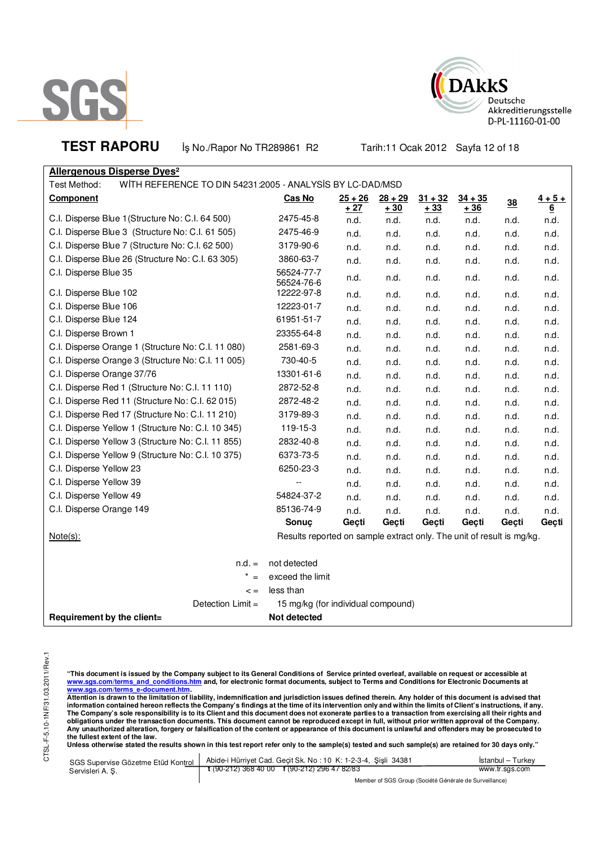



**TEST RAPORU iş No./Rapor No TR289861 R2** Tarih:11 Ocak 2012 Sayfa 12 of 18

| <b>Allergenous Disperse Dyes<sup>2</sup></b>                              |                                                                       |           |             |             |             |       |                  |
|---------------------------------------------------------------------------|-----------------------------------------------------------------------|-----------|-------------|-------------|-------------|-------|------------------|
| WITH REFERENCE TO DIN 54231:2005 - ANALYSIS BY LC-DAD/MSD<br>Test Method: |                                                                       |           |             |             |             |       |                  |
| Component                                                                 | Cas No                                                                | $25 + 26$ | $28 + 29$   | $31 + 32$   | $34 + 35$   | 38    | $\frac{4+5+}{6}$ |
|                                                                           | 2475-45-8                                                             | $+27$     | <u>+ 30</u> | <u>+ 33</u> | <u>+ 36</u> |       | <u>6</u>         |
| C.I. Disperse Blue 1 (Structure No: C.I. 64 500)                          | 2475-46-9                                                             | n.d.      | n.d.        | n.d.        | n.d.        | n.d.  | n.d.             |
| C.I. Disperse Blue 3 (Structure No: C.I. 61 505)                          |                                                                       | n.d.      | n.d.        | n.d.        | n.d.        | n.d.  | n.d.             |
| C.I. Disperse Blue 7 (Structure No: C.I. 62 500)                          | 3179-90-6                                                             | n.d.      | n.d.        | n.d.        | n.d.        | n.d.  | n.d.             |
| C.I. Disperse Blue 26 (Structure No: C.I. 63 305)                         | 3860-63-7                                                             | n.d.      | n.d.        | n.d.        | n.d.        | n.d.  | n.d.             |
| C.I. Disperse Blue 35                                                     | 56524-77-7<br>56524-76-6                                              | n.d.      | n.d.        | n.d.        | n.d.        | n.d.  | n.d.             |
| C.I. Disperse Blue 102                                                    | 12222-97-8                                                            | n.d.      | n.d.        | n.d.        | n.d.        | n.d.  | n.d.             |
| C.I. Disperse Blue 106                                                    | 12223-01-7                                                            | n.d.      | n.d.        | n.d.        | n.d.        | n.d.  | n.d.             |
| C.I. Disperse Blue 124                                                    | 61951-51-7                                                            | n.d.      | n.d.        | n.d.        | n.d.        | n.d.  | n.d.             |
| C.I. Disperse Brown 1                                                     | 23355-64-8                                                            | n.d.      | n.d.        | n.d.        | n.d.        | n.d.  | n.d.             |
| C.I. Disperse Orange 1 (Structure No: C.I. 11 080)                        | 2581-69-3                                                             | n.d.      | n.d.        | n.d.        | n.d.        | n.d.  | n.d.             |
| C.I. Disperse Orange 3 (Structure No: C.I. 11 005)                        | 730-40-5                                                              | n.d.      | n.d.        | n.d.        | n.d.        | n.d.  | n.d.             |
| C.I. Disperse Orange 37/76                                                | 13301-61-6                                                            | n.d.      | n.d.        | n.d.        | n.d.        | n.d.  | n.d.             |
| C.I. Disperse Red 1 (Structure No: C.I. 11 110)                           | 2872-52-8                                                             | n.d.      | n.d.        | n.d.        | n.d.        | n.d.  | n.d.             |
| C.I. Disperse Red 11 (Structure No: C.I. 62 015)                          | 2872-48-2                                                             | n.d.      | n.d.        | n.d.        | n.d.        | n.d.  | n.d.             |
| C.I. Disperse Red 17 (Structure No: C.I. 11 210)                          | 3179-89-3                                                             | n.d.      | n.d.        | n.d.        | n.d.        | n.d.  | n.d.             |
| C.I. Disperse Yellow 1 (Structure No: C.I. 10 345)                        | 119-15-3                                                              | n.d.      | n.d.        | n.d.        | n.d.        | n.d.  | n.d.             |
| C.I. Disperse Yellow 3 (Structure No: C.I. 11 855)                        | 2832-40-8                                                             | n.d.      | n.d.        | n.d.        | n.d.        | n.d.  | n.d.             |
| C.I. Disperse Yellow 9 (Structure No: C.I. 10 375)                        | 6373-73-5                                                             | n.d.      | n.d.        | n.d.        | n.d.        | n.d.  | n.d.             |
| C.I. Disperse Yellow 23                                                   | 6250-23-3                                                             | n.d.      | n.d.        | n.d.        | n.d.        | n.d.  | n.d.             |
| C.I. Disperse Yellow 39                                                   | $-$                                                                   | n.d.      | n.d.        | n.d.        | n.d.        | n.d.  | n.d.             |
| C.I. Disperse Yellow 49                                                   | 54824-37-2                                                            | n.d.      | n.d.        | n.d.        | n.d.        | n.d.  | n.d.             |
| C.I. Disperse Orange 149                                                  | 85136-74-9                                                            | n.d.      | n.d.        | n.d.        | n.d.        | n.d.  | n.d.             |
|                                                                           | Sonuç                                                                 | Geçti     | Geçti       | Geçti       | Geçti       | Geçti | Geçti            |
| $Note(s)$ :                                                               | Results reported on sample extract only. The unit of result is mg/kg. |           |             |             |             |       |                  |
| $n.d. =$                                                                  | not detected                                                          |           |             |             |             |       |                  |
| $^\star\,$ =                                                              | exceed the limit                                                      |           |             |             |             |       |                  |
| $\leq$ =                                                                  | less than                                                             |           |             |             |             |       |                  |
| Detection Limit =                                                         | 15 mg/kg (for individual compound)                                    |           |             |             |             |       |                  |
| Requirement by the client=                                                | Not detected                                                          |           |             |             |             |       |                  |

"This document is issued by the Company subject to its General Conditions of Service printed overleaf, available on request or accessible at<br>www.sgs.com/terms\_and\_conditions.htm\_and, for electronic format documents, subjec

<mark>www.sgs.com/terms\_e-document.htm.</mark><br>Attention is drawn to the limitation of liability, indemnification and jurisdiction issues defined therein. Any holder of this document is advised that information contained hereon reflects the Company's findings at the time of its intervention only and within the limits of Client's instructions, if any.<br>The Company's sole responsibility is to its Client and this document obligations under the transaction documents. This document cannot be reproduced except in full, without prior written approval of the Company.<br>Any unauthorized alteration, forgery or falsification of the content or appeara

Unless otherwise stated the results shown in this test report refer only to the sample(s) tested and such sample(s) are retained for 30 days only."

| SGS Supervise Gözetme Etüd Kontrol II | Abide-i Hürriyet Cad. Geçit Sk. No: 10 K: 1-2-3-4, Şişli 34381                                                                                                                                                                                                               | Istanbul – Turkev |  |  |  |
|---------------------------------------|------------------------------------------------------------------------------------------------------------------------------------------------------------------------------------------------------------------------------------------------------------------------------|-------------------|--|--|--|
| Servisleri A.S.                       | $\frac{1}{2}$ (90-212) 368 40 00 f (90-212) 296 47 82/83                                                                                                                                                                                                                     | www.tr.sgs.com    |  |  |  |
|                                       | $M_{\odot}$ . Let $M_{\odot}$ and $M_{\odot}$ and $M_{\odot}$ and $M_{\odot}$ and $M_{\odot}$ and $M_{\odot}$ are $M_{\odot}$ . Then is a set of $M_{\odot}$ and $M_{\odot}$ are $M_{\odot}$ and $M_{\odot}$ are $M_{\odot}$ are $M_{\odot}$ and $M_{\odot}$ are $M_{\odot}$ |                   |  |  |  |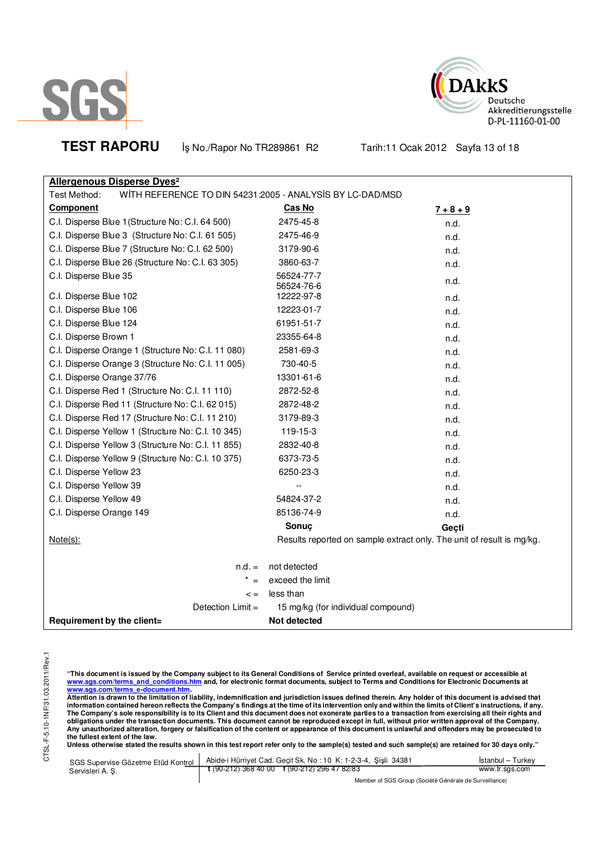

**DAkkS** Deutsche Akkreditierungsstelle D-PL-11160-01-00

**TEST RAPORU iş No./Rapor No TR289861 R2** Tarih:11 Ocak 2012 Sayfa 13 of 18

| <b>Allergenous Disperse Dyes<sup>2</sup></b>                              |                                                                       |             |
|---------------------------------------------------------------------------|-----------------------------------------------------------------------|-------------|
| Test Method:<br>WITH REFERENCE TO DIN 54231:2005 - ANALYSIS BY LC-DAD/MSD |                                                                       |             |
| Component                                                                 | Cas No                                                                | $7 + 8 + 9$ |
| C.I. Disperse Blue 1 (Structure No: C.I. 64 500)                          | 2475-45-8                                                             | n.d.        |
| C.I. Disperse Blue 3 (Structure No: C.I. 61 505)                          | 2475-46-9                                                             | n.d.        |
| C.I. Disperse Blue 7 (Structure No: C.I. 62 500)                          | 3179-90-6                                                             | n.d.        |
| C.I. Disperse Blue 26 (Structure No: C.I. 63 305)                         | 3860-63-7                                                             | n.d.        |
| C.I. Disperse Blue 35                                                     | 56524-77-7<br>56524-76-6                                              | n.d.        |
| C.I. Disperse Blue 102                                                    | 12222-97-8                                                            | n.d.        |
| C.I. Disperse Blue 106                                                    | 12223-01-7                                                            | n.d.        |
| C.I. Disperse Blue 124                                                    | 61951-51-7                                                            | n.d.        |
| C.I. Disperse Brown 1                                                     | 23355-64-8                                                            | n.d.        |
| C.I. Disperse Orange 1 (Structure No: C.I. 11 080)                        | 2581-69-3                                                             | n.d.        |
| C.I. Disperse Orange 3 (Structure No: C.I. 11 005)                        | 730-40-5                                                              | n.d.        |
| C.I. Disperse Orange 37/76                                                | 13301-61-6                                                            | n.d.        |
| C.I. Disperse Red 1 (Structure No: C.I. 11 110)                           | 2872-52-8                                                             | n.d.        |
| C.I. Disperse Red 11 (Structure No: C.I. 62 015)                          | 2872-48-2                                                             | n.d.        |
| C.I. Disperse Red 17 (Structure No: C.I. 11 210)                          | 3179-89-3                                                             | n.d.        |
| C.I. Disperse Yellow 1 (Structure No: C.I. 10 345)                        | 119-15-3                                                              | n.d.        |
| C.I. Disperse Yellow 3 (Structure No: C.I. 11 855)                        | 2832-40-8                                                             | n.d.        |
| C.I. Disperse Yellow 9 (Structure No: C.I. 10 375)                        | 6373-73-5                                                             | n.d.        |
| C.I. Disperse Yellow 23                                                   | 6250-23-3                                                             | n.d.        |
| C.I. Disperse Yellow 39                                                   | $\overline{\phantom{a}}$                                              | n.d.        |
| C.I. Disperse Yellow 49                                                   | 54824-37-2                                                            | n.d.        |
| C.I. Disperse Orange 149                                                  | 85136-74-9                                                            | n.d.        |
|                                                                           | Sonuç                                                                 | Geçti       |
| $Note(s)$ :                                                               | Results reported on sample extract only. The unit of result is mg/kg. |             |
| $n.d. =$                                                                  | not detected                                                          |             |
| $x^* =$                                                                   | exceed the limit                                                      |             |
| $\leq$ =                                                                  | less than                                                             |             |
| Detection Limit =                                                         | 15 mg/kg (for individual compound)                                    |             |
| Requirement by the client=                                                | Not detected                                                          |             |

"This document is issued by the Company subject to its General Conditions of Service printed overleaf, available on request or accessible at<br>www.sgs.com/terms\_and\_conditions.htm\_and, for electronic format documents, subjec

<u>www.sgs.com/terms\_e-document.htm.</u><br>Attention is drawn to the limitation of liability, indemnification and jurisdiction issues defined therein. Any holder of this document is advised that<br>information contained hereon refle obligations under the transaction documents. This document cannot be reproduced except in full, without prior written approval of the Company.<br>Any unauthorized alteration, forgery or falsification of the content or appeara

**Unless otherwise stated the results shown in this test report refer only to the sample(s) tested and such sample(s) are retained for 30 days only."** 

| SGS Supervise Gözetme Etüd Kontrol I | Abide-i Hürriyet Cad. Geçit Sk. No: 10 K: 1-2-3-4, Şişli 34381 | Istanbul - Turkev |  |  |  |
|--------------------------------------|----------------------------------------------------------------|-------------------|--|--|--|
| Servisleri A.S.                      | $\frac{1}{2}$ (90-212) 368 40 00 f (90-212) 296 47 82/83       | www.tr.sgs.com    |  |  |  |
|                                      | Mambau at COC Ourine (Capitat O to trade de Ourinellanes)      |                   |  |  |  |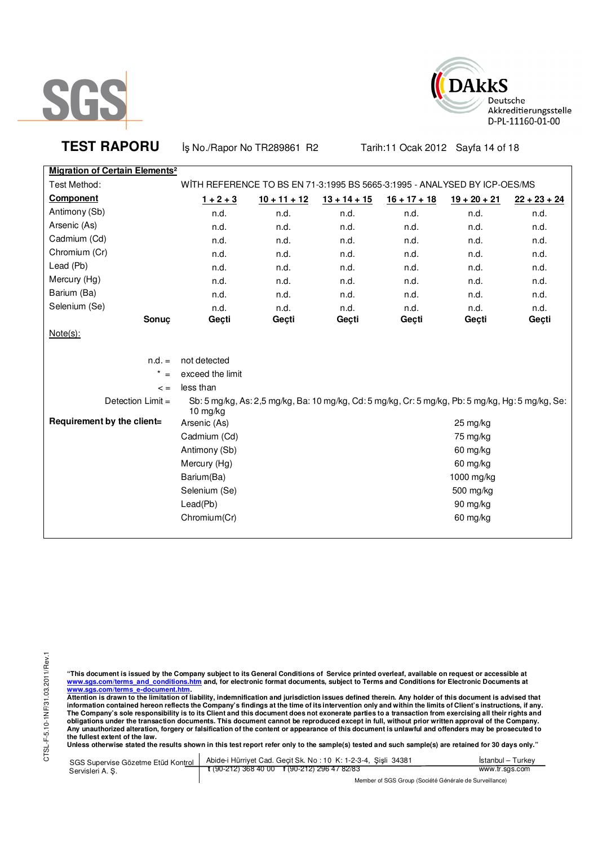



TEST RAPORU **by No./Rapor No TR289861 R2** Tarih:11 Ocak 2012 Sayfa 14 of 18

| <b>Migration of Certain Elements<sup>2</sup></b> |                                                                           |                                                                                                   |                |                |                |                |  |
|--------------------------------------------------|---------------------------------------------------------------------------|---------------------------------------------------------------------------------------------------|----------------|----------------|----------------|----------------|--|
| Test Method:                                     | WITH REFERENCE TO BS EN 71-3:1995 BS 5665-3:1995 - ANALYSED BY ICP-OES/MS |                                                                                                   |                |                |                |                |  |
| Component                                        | $1 + 2 + 3$                                                               | $10 + 11 + 12$                                                                                    | $13 + 14 + 15$ | $16 + 17 + 18$ | $19 + 20 + 21$ | $22 + 23 + 24$ |  |
| Antimony (Sb)                                    | n.d.                                                                      | n.d.                                                                                              | n.d.           | n.d.           | n.d.           | n.d.           |  |
| Arsenic (As)                                     | n.d.                                                                      | n.d.                                                                                              | n.d.           | n.d.           | n.d.           | n.d.           |  |
| Cadmium (Cd)                                     | n.d.                                                                      | n.d.                                                                                              | n.d.           | n.d.           | n.d.           | n.d.           |  |
| Chromium (Cr)                                    | n.d.                                                                      | n.d.                                                                                              | n.d.           | n.d.           | n.d.           | n.d.           |  |
| Lead (Pb)                                        | n.d.                                                                      | n.d.                                                                                              | n.d.           | n.d.           | n.d.           | n.d.           |  |
| Mercury (Hg)                                     | n.d.                                                                      | n.d.                                                                                              | n.d.           | n.d.           | n.d.           | n.d.           |  |
| Barium (Ba)                                      | n.d.                                                                      | n.d.                                                                                              | n.d.           | n.d.           | n.d.           | n.d.           |  |
| Selenium (Se)                                    | n.d.                                                                      | n.d.                                                                                              | n.d.           | n.d.           | n.d.           | n.d.           |  |
| Sonuç                                            | Geçti                                                                     | Geçti                                                                                             | Geçti          | Geçti          | Geçti          | Geçti          |  |
| $Note(s)$ :                                      |                                                                           |                                                                                                   |                |                |                |                |  |
|                                                  |                                                                           |                                                                                                   |                |                |                |                |  |
| $n.d. =$                                         | not detected                                                              |                                                                                                   |                |                |                |                |  |
| $\star$ =                                        | exceed the limit                                                          |                                                                                                   |                |                |                |                |  |
| $\leq$ =                                         | less than                                                                 |                                                                                                   |                |                |                |                |  |
| Detection $Limit =$                              | 10 $mg/kg$                                                                | Sb: 5 mg/kg, As: 2,5 mg/kg, Ba: 10 mg/kg, Cd: 5 mg/kg, Cr: 5 mg/kg, Pb: 5 mg/kg, Hg: 5 mg/kg, Se: |                |                |                |                |  |
| Requirement by the client=                       | Arsenic (As)                                                              |                                                                                                   |                |                | 25 mg/kg       |                |  |
|                                                  | Cadmium (Cd)                                                              |                                                                                                   | 75 mg/kg       |                |                |                |  |
|                                                  | Antimony (Sb)                                                             |                                                                                                   |                |                | 60 mg/kg       |                |  |
|                                                  | Mercury (Hg)                                                              |                                                                                                   |                |                | 60 mg/kg       |                |  |
|                                                  | Barium(Ba)                                                                |                                                                                                   |                |                | 1000 mg/kg     |                |  |
|                                                  | Selenium (Se)                                                             |                                                                                                   |                |                | 500 mg/kg      |                |  |
|                                                  | Lead(Pb)                                                                  |                                                                                                   |                |                | 90 mg/kg       |                |  |
|                                                  | Chromium(Cr)                                                              |                                                                                                   |                |                | 60 mg/kg       |                |  |
|                                                  |                                                                           |                                                                                                   |                |                |                |                |  |

"This document is issued by the Company subject to its General Conditions of Service printed overleaf, available on request or accessible at<br>www.sgs.com/terms\_and\_conditions.htm\_and, for electronic format documents, subjec

<u>www.sgs.com/terms\_e-document.htm.</u><br>Attention is drawn to the limitation of liability, indemnification and jurisdiction issues defined therein. Any holder of this document is advised that<br>information contained hereon refle obligations under the transaction documents. This document cannot be reproduced except in full, without prior written approval of the Company.<br>Any unauthorized alteration, forgery or falsification of the content or appeara

**Unless otherwise stated the results shown in this test report refer only to the sample(s) tested and such sample(s) are retained for 30 days only."** 

| Servisleri A. S. | SGS Supervise Gözetme Etüd Kontrol   Abide-i Hürriyet Cad. Geçit Sk. No: 10 K: 1-2-3-4, Şişli 34381 | Istanbul – Turkev |
|------------------|-----------------------------------------------------------------------------------------------------|-------------------|
|                  | $\frac{1}{2}$ (90-212) 368 40 00 f (90-212) 296 47 82/83                                            | www.tr.sgs.com    |
|                  |                                                                                                     |                   |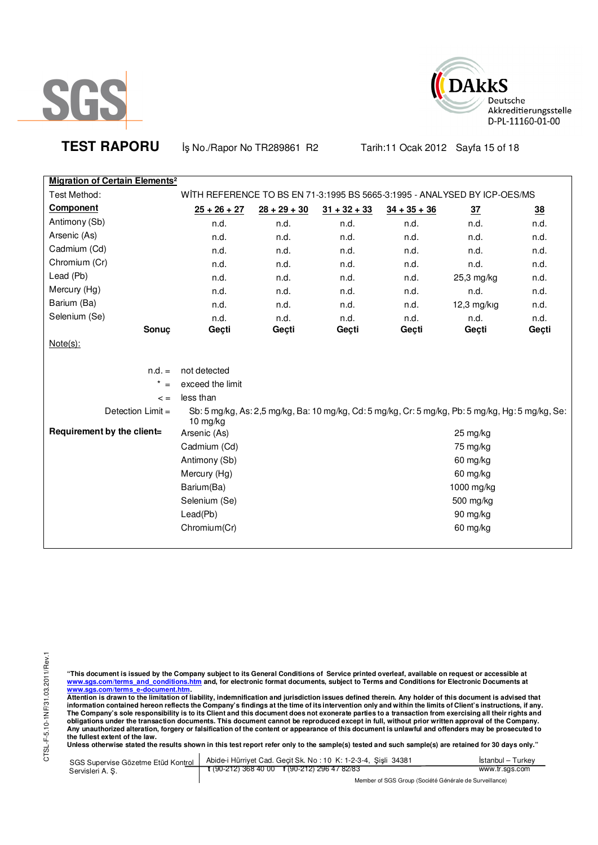



**TEST RAPORU iş No./Rapor No TR289861 R2** Tarih:11 Ocak 2012 Sayfa 15 of 18

| <b>Migration of Certain Elements<sup>2</sup></b> |                                                                                                   |                |                |                |             |       |
|--------------------------------------------------|---------------------------------------------------------------------------------------------------|----------------|----------------|----------------|-------------|-------|
| Test Method:                                     | WITH REFERENCE TO BS EN 71-3:1995 BS 5665-3:1995 - ANALYSED BY ICP-OES/MS                         |                |                |                |             |       |
| <b>Component</b>                                 | $25 + 26 + 27$                                                                                    | $28 + 29 + 30$ | $31 + 32 + 33$ | $34 + 35 + 36$ | 37          | 38    |
| Antimony (Sb)                                    | n.d.                                                                                              | n.d.           | n.d.           | n.d.           | n.d.        | n.d.  |
| Arsenic (As)                                     | n.d.                                                                                              | n.d.           | n.d.           | n.d.           | n.d.        | n.d.  |
| Cadmium (Cd)                                     | n.d.                                                                                              | n.d.           | n.d.           | n.d.           | n.d.        | n.d.  |
| Chromium (Cr)                                    | n.d.                                                                                              | n.d.           | n.d.           | n.d.           | n.d.        | n.d.  |
| Lead (Pb)                                        | n.d.                                                                                              | n.d.           | n.d.           | n.d.           | 25,3 mg/kg  | n.d.  |
| Mercury (Hg)                                     | n.d.                                                                                              | n.d.           | n.d.           | n.d.           | n.d.        | n.d.  |
| Barium (Ba)                                      | n.d.                                                                                              | n.d.           | n.d.           | n.d.           | 12,3 mg/kig | n.d.  |
| Selenium (Se)                                    | n.d.                                                                                              | n.d.           | n.d.           | n.d.           | n.d.        | n.d.  |
| Sonuç                                            | Geçti                                                                                             | Geçti          | Geçti          | Geçti          | Geçti       | Geçti |
| $Note(s)$ :                                      |                                                                                                   |                |                |                |             |       |
|                                                  |                                                                                                   |                |                |                |             |       |
| $n.d. =$                                         | not detected                                                                                      |                |                |                |             |       |
| $\star$<br>$=$                                   | exceed the limit                                                                                  |                |                |                |             |       |
| $\leq$ =                                         | less than                                                                                         |                |                |                |             |       |
| Detection $Limit =$                              | Sb: 5 mg/kg, As: 2,5 mg/kg, Ba: 10 mg/kg, Cd: 5 mg/kg, Cr: 5 mg/kg, Pb: 5 mg/kg, Hg: 5 mg/kg, Se: |                |                |                |             |       |
| Requirement by the client=                       | 10 $mg/kg$<br>Arsenic (As)                                                                        |                |                |                | 25 mg/kg    |       |
|                                                  | Cadmium (Cd)                                                                                      | 75 mg/kg       |                |                |             |       |
|                                                  | Antimony (Sb)                                                                                     | 60 mg/kg       |                |                |             |       |
|                                                  | Mercury (Hg)                                                                                      | 60 mg/kg       |                |                |             |       |
|                                                  | Barium(Ba)                                                                                        | 1000 mg/kg     |                |                |             |       |
|                                                  | Selenium (Se)                                                                                     | 500 mg/kg      |                |                |             |       |
|                                                  | Lead(Pb)                                                                                          | $90$ mg/kg     |                |                |             |       |
|                                                  | Chromium(Cr)                                                                                      | 60 mg/kg       |                |                |             |       |
|                                                  |                                                                                                   |                |                |                |             |       |

"This document is issued by the Company subject to its General Conditions of Service printed overleaf, available on request or accessible at<br>www.sgs.com/terms\_and\_conditions.htm\_and, for electronic format documents, subjec

<u>www.sgs.com/terms\_e-document.htm.</u><br>Attention is drawn to the limitation of liability, indemnification and jurisdiction issues defined therein. Any holder of this document is advised that<br>information contained hereon refle obligations under the transaction documents. This document cannot be reproduced except in full, without prior written approval of the Company.<br>Any unauthorized alteration, forgery or falsification of the content or appeara

**Unless otherwise stated the results shown in this test report refer only to the sample(s) tested and such sample(s) are retained for 30 days only."** 

| SGS Supervise Gözetme Etüd Kontrol  <br>Servisleri A. S. | Abide-i Hürriyet Cad. Gecit Sk. No: 10 K: 1-2-3-4, Sisli 34381 | Istanbul – Turkev                                      |  |
|----------------------------------------------------------|----------------------------------------------------------------|--------------------------------------------------------|--|
|                                                          | $\frac{1}{2}$ (90-212) 368 40 00 f (90-212) 296 47 82/83       | www.tr.sgs.com                                         |  |
|                                                          |                                                                | Member of SGS Group (Société Générale de Surveillance) |  |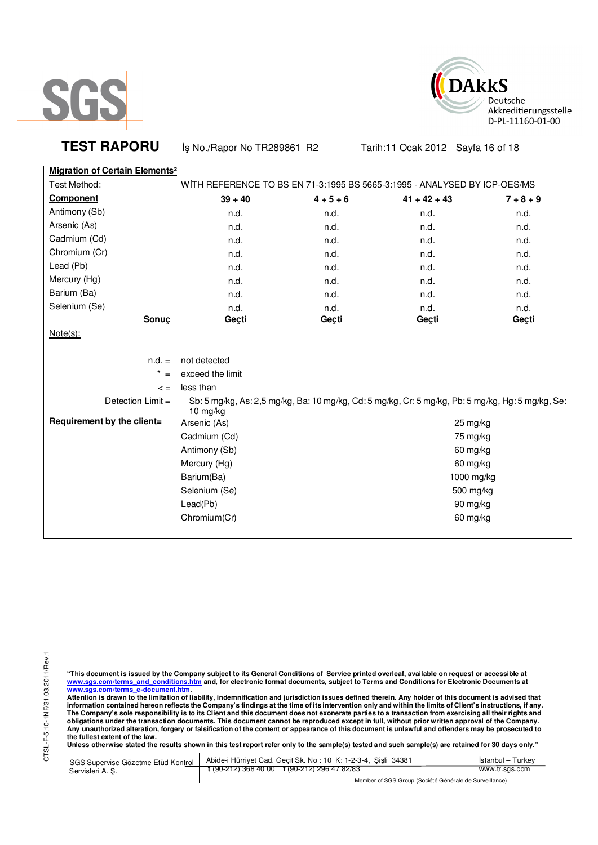



**TEST RAPORU iş No./Rapor No TR289861 R2** Tarih:11 Ocak 2012 Sayfa 16 of 18

| Migration of Certain Elements <sup>2</sup> |                                                                                                                 |             |                |             |
|--------------------------------------------|-----------------------------------------------------------------------------------------------------------------|-------------|----------------|-------------|
| Test Method:                               | WITH REFERENCE TO BS EN 71-3:1995 BS 5665-3:1995 - ANALYSED BY ICP-OES/MS                                       |             |                |             |
| <b>Component</b>                           | $39 + 40$                                                                                                       | $4 + 5 + 6$ | $41 + 42 + 43$ | $7 + 8 + 9$ |
| Antimony (Sb)                              | n.d.                                                                                                            | n.d.        | n.d.           | n.d.        |
| Arsenic (As)                               | n.d.                                                                                                            | n.d.        | n.d.           | n.d.        |
| Cadmium (Cd)                               | n.d.                                                                                                            | n.d.        | n.d.           | n.d.        |
| Chromium (Cr)                              | n.d.                                                                                                            | n.d.        | n.d.           | n.d.        |
| Lead (Pb)                                  | n.d.                                                                                                            | n.d.        | n.d.           | n.d.        |
| Mercury (Hg)                               | n.d.                                                                                                            | n.d.        | n.d.           | n.d.        |
| Barium (Ba)                                | n.d.                                                                                                            | n.d.        | n.d.           | n.d.        |
| Selenium (Se)                              | n.d.                                                                                                            | n.d.        | n.d.           | n.d.        |
| Sonuç                                      | Geçti                                                                                                           | Geçti       | Geçti          | Geçti       |
| $Note(s)$ :                                |                                                                                                                 |             |                |             |
|                                            |                                                                                                                 |             |                |             |
| $n.d. =$                                   | not detected                                                                                                    |             |                |             |
| $^\star$<br>$=$                            | exceed the limit                                                                                                |             |                |             |
| $\leq$ =                                   | less than                                                                                                       |             |                |             |
| Detection $Limit =$                        | Sb: 5 mg/kg, As: 2,5 mg/kg, Ba: 10 mg/kg, Cd: 5 mg/kg, Cr: 5 mg/kg, Pb: 5 mg/kg, Hg: 5 mg/kg, Se:<br>10 $mg/kg$ |             |                |             |
| Requirement by the client=                 | Arsenic (As)<br>25 mg/kg                                                                                        |             |                |             |
|                                            | Cadmium (Cd)                                                                                                    | 75 mg/kg    |                |             |
|                                            | Antimony (Sb)                                                                                                   | 60 mg/kg    |                |             |
|                                            | Mercury (Hg)                                                                                                    | 60 mg/kg    |                |             |
|                                            | Barium(Ba)                                                                                                      | 1000 mg/kg  |                |             |
|                                            | Selenium (Se)                                                                                                   | 500 mg/kg   |                |             |
|                                            | Lead(Pb)                                                                                                        | 90 mg/kg    |                |             |
|                                            | Chromium(Cr)                                                                                                    | 60 mg/kg    |                |             |
|                                            |                                                                                                                 |             |                |             |

"This document is issued by the Company subject to its General Conditions of Service printed overleaf, available on request or accessible at<br>www.sgs.com/terms\_and\_conditions.htm\_and, for electronic format documents, subjec

<u>www.sgs.com/terms\_e-document.htm.</u><br>Attention is drawn to the limitation of liability, indemnification and jurisdiction issues defined therein. Any holder of this document is advised that<br>information contained hereon refle obligations under the transaction documents. This document cannot be reproduced except in full, without prior written approval of the Company.<br>Any unauthorized alteration, forgery or falsification of the content or appeara

**Unless otherwise stated the results shown in this test report refer only to the sample(s) tested and such sample(s) are retained for 30 days only."** 

| SGS Supervise Gözetme Etüd Kontrol I<br>Servisleri A. S. | Abide-i Hürriyet Cad. Geçit Sk. No: 10 K: 1-2-3-4, Şişli 34381 | Istanbul – Turkev |
|----------------------------------------------------------|----------------------------------------------------------------|-------------------|
|                                                          | $\frac{1}{2}$ (90-212) 368 40 00 f (90-212) 296 47 82/83       | www.tr.sgs.com    |
|                                                          |                                                                |                   |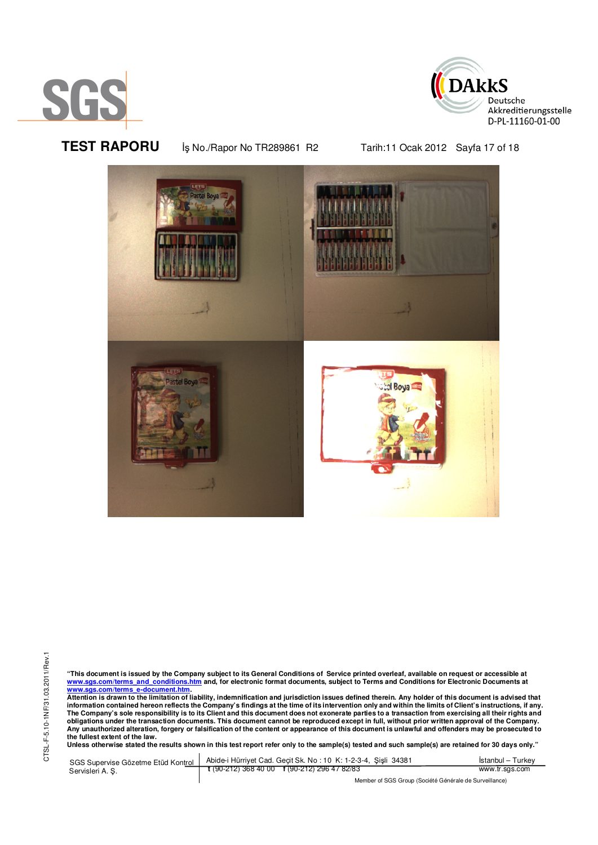



TEST RAPORU **by No./Rapor No TR289861 R2** Tarih:11 Ocak 2012 Sayfa 17 of 18



"This document is issued by the Company subject to its General Conditions of Service printed overleaf, available on request or accessible at<br>www.sgs.com/terms\_and\_conditions.htm\_and, for electronic format documents, subjec <mark>www.sgs.com/terms\_e-document.htm.</mark><br>Attention is drawn to the limitation of liability, indemnification and jurisdiction issues defined therein. Any holder of this document is advised that

information contained hereon reflects the Company's findings at the time of its intervention only and within the limits of Client's instructions, if any.<br>The Company's sole responsibility is to its Client and this document obligations under the transaction documents. This document cannot be reproduced except in full, without prior written approval of the Company.<br>Any unauthorized alteration, forgery or falsification of the content or appeara

**Unless otherwise stated the results shown in this test report refer only to the sample(s) tested and such sample(s) are retained for 30 days only."** 

SGS Supervise Gözetme Etüd Kontrol Servisleri A. Ş. Abide-i Hürriyet Cad. Geçit Sk. No : 10 K: 1-2-3-4, Şişli 34381 **t** (90-212) 368 40 00 **f** (90-212) 296 47 82/83 İstanbul – Turkey www.tr.sgs.com